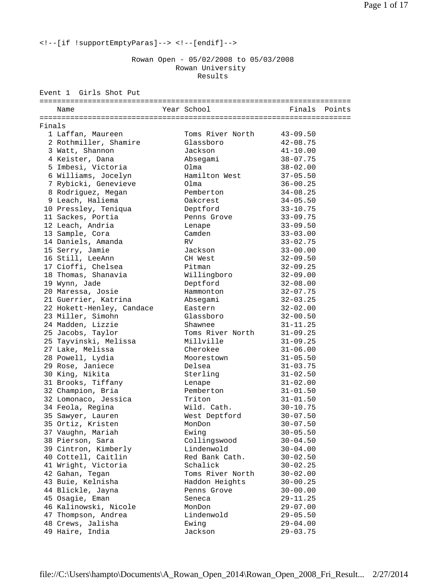<!--[if !supportEmptyParas]--> <!--[endif]-->

 Rowan Open - 05/02/2008 to 05/03/2008 Rowan University Results

|        | Event 1 Girls Shot Put    |  |                  |              |        |
|--------|---------------------------|--|------------------|--------------|--------|
|        | Name                      |  | Year School      | Finals       | Points |
|        |                           |  |                  |              |        |
| Finals | 1 Laffan, Maureen         |  | Toms River North | $43 - 09.50$ |        |
|        | 2 Rothmiller, Shamire     |  | Glassboro        | $42 - 08.75$ |        |
|        | 3 Watt, Shannon           |  | Jackson          | $41 - 10.00$ |        |
|        | 4 Keister, Dana           |  | Absegami         | $38 - 07.75$ |        |
|        | 5 Imbesi, Victoria        |  | O1ma             | $38 - 02.00$ |        |
|        | 6 Williams, Jocelyn       |  | Hamilton West    | $37 - 05.50$ |        |
|        | 7 Rybicki, Genevieve      |  | O1ma             | $36 - 00.25$ |        |
|        | 8 Rodriguez, Megan        |  | Pemberton        | $34 - 08.25$ |        |
|        | 9 Leach, Haliema          |  | Oakcrest         | $34 - 05.50$ |        |
|        | 10 Pressley, Teniqua      |  | Deptford         | $33 - 10.75$ |        |
|        | 11 Sackes, Portia         |  | Penns Grove      | $33 - 09.75$ |        |
|        | 12 Leach, Andria          |  | Lenape           | $33 - 09.50$ |        |
|        | 13 Sample, Cora           |  | Camden           | $33 - 03.00$ |        |
|        | 14 Daniels, Amanda        |  | RV.              | $33 - 02.75$ |        |
|        | 15 Serry, Jamie           |  | Jackson          | $33 - 00.00$ |        |
|        | 16 Still, LeeAnn          |  | CH West          | $32 - 09.50$ |        |
|        | 17 Cioffi, Chelsea        |  | Pitman           | $32 - 09.25$ |        |
|        | 18 Thomas, Shanavia       |  | Willingboro      | $32 - 09.00$ |        |
|        | 19 Wynn, Jade             |  | Deptford         | $32 - 08.00$ |        |
|        | 20 Maressa, Josie         |  | Hammonton        | $32 - 07.75$ |        |
|        | 21 Guerrier, Katrina      |  | Absegami         | $32 - 03.25$ |        |
|        | 22 Hokett-Henley, Candace |  | Eastern          | $32 - 02.00$ |        |
|        | 23 Miller, Simohn         |  | Glassboro        | $32 - 00.50$ |        |
|        | 24 Madden, Lizzie         |  | Shawnee          | $31 - 11.25$ |        |
|        | 25 Jacobs, Taylor         |  | Toms River North | $31 - 09.25$ |        |
|        | 25 Tayvinski, Melissa     |  | Millville        | $31 - 09.25$ |        |
|        | 27 Lake, Melissa          |  | Cherokee         | $31 - 06.00$ |        |
|        | 28 Powell, Lydia          |  | Moorestown       | $31 - 05.50$ |        |
|        | 29 Rose, Janiece          |  | Delsea           | $31 - 03.75$ |        |
|        | 30 King, Nikita           |  | Sterling         | $31 - 02.50$ |        |
|        | 31 Brooks, Tiffany        |  | Lenape           | $31 - 02.00$ |        |
|        | 32 Champion, Bria         |  | Pemberton        | $31 - 01.50$ |        |
|        | 32 Lomonaco, Jessica      |  | Triton           | $31 - 01.50$ |        |
|        | 34 Feola, Regina          |  | Wild. Cath.      | $30 - 10.75$ |        |
|        | 35 Sawyer, Lauren         |  | West Deptford    | $30 - 07.50$ |        |
|        | 35 Ortiz, Kristen         |  | MonDon           | $30 - 07.50$ |        |
|        | 37 Vaughn, Mariah         |  | Ewing            | $30 - 05.50$ |        |
|        | 38 Pierson, Sara          |  | Collingswood     | $30 - 04.50$ |        |
|        | 39 Cintron, Kimberly      |  | Lindenwold       | $30 - 04.00$ |        |
|        | 40 Cottell, Caitlin       |  | Red Bank Cath.   | $30 - 02.50$ |        |
|        | 41 Wright, Victoria       |  | Schalick         | $30 - 02.25$ |        |
|        | 42 Gahan, Tegan           |  | Toms River North | $30 - 02.00$ |        |
|        | 43 Buie, Kelnisha         |  | Haddon Heights   | $30 - 00.25$ |        |
|        | 44 Blickle, Jayna         |  | Penns Grove      | $30 - 00.00$ |        |
|        | 45 Osagie, Eman           |  | Seneca           | $29 - 11.25$ |        |
|        | 46 Kalinowski, Nicole     |  | MonDon           | $29 - 07.00$ |        |
|        | 47 Thompson, Andrea       |  | Lindenwold       | $29 - 05.50$ |        |
|        | 48 Crews, Jalisha         |  | Ewing            | $29 - 04.00$ |        |
|        | 49 Haire, India           |  | Jackson          | $29 - 03.75$ |        |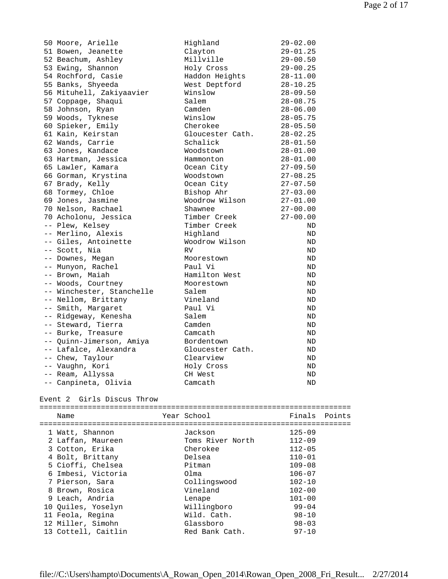| 50 Moore, Arielle         | Highland         | $29 - 02.00$ |
|---------------------------|------------------|--------------|
| 51 Bowen, Jeanette        | Clayton          | 29-01.25     |
| 52 Beachum, Ashley        | Millville        | 29-00.50     |
| 53 Ewing, Shannon         | Holy Cross       | $29 - 00.25$ |
| 54 Rochford, Casie        | Haddon Heights   | $28 - 11.00$ |
| 55 Banks, Shyeeda         | West Deptford    | $28 - 10.25$ |
| 56 Mituhell, Zakiyaavier  | Winslow          | $28 - 09.50$ |
| 57 Coppage, Shaqui        | Salem            | $28 - 08.75$ |
| 58 Johnson, Ryan          | Camden           | $28 - 06.00$ |
| 59 Woods, Tyknese         | Winslow          | $28 - 05.75$ |
| 60 Spieker, Emily         | Cherokee         | $28 - 05.50$ |
| 61 Kain, Keirstan         | Gloucester Cath. | $28 - 02.25$ |
| 62 Wands, Carrie          | Schalick         | $28 - 01.50$ |
| 63 Jones, Kandace         | Woodstown        | $28 - 01.00$ |
| 63 Hartman, Jessica       | Hammonton        | $28 - 01.00$ |
| 65 Lawler, Kamara         | Ocean City       | $27 - 09.50$ |
| 66 Gorman, Krystina       | Woodstown        | $27 - 08.25$ |
| 67 Brady, Kelly           | Ocean City       | $27 - 07.50$ |
| 68 Tormey, Chloe          | Bishop Ahr       | $27 - 03.00$ |
| 69 Jones, Jasmine         | Woodrow Wilson   | $27 - 01.00$ |
| 70 Nelson, Rachael        | Shawnee          | $27 - 00.00$ |
| 70 Acholonu, Jessica      | Timber Creek     | $27 - 00.00$ |
| -- Plew, Kelsey           | Timber Creek     | ND           |
| -- Merlino, Alexis        | Highland         | ND           |
| -- Giles, Antoinette      | Woodrow Wilson   | ND           |
| -- Scott, Nia             | <b>RV</b>        | ND.          |
| -- Downes, Megan          | Moorestown       | ND           |
| -- Munyon, Rachel         | Paul Vi          | ND.          |
| -- Brown, Maiah           | Hamilton West    | ND           |
| -- Woods, Courtney        | Moorestown       | ND           |
| -- Winchester, Stanchelle | Salem            | ND           |
| -- Nellom, Brittany       | Vineland         | ND           |
| -- Smith, Margaret        | Paul Vi          | ND           |
| -- Ridgeway, Kenesha      | Salem            | ND           |
| -- Steward, Tierra        | Camden           | ND           |
| -- Burke, Treasure        | Camcath          | ND           |
| -- Quinn-Jimerson, Amiya  | Bordentown       | ND           |
| -- Lafalce, Alexandra     | Gloucester Cath. | ND           |
| -- Chew, Taylour          | Clearview        | ND           |
| -- Vaughn, Kori           | Holy Cross       | ND           |
| -- Ream, Allyssa          | CH West          | ND           |
| -- Canpineta, Olivia      | Camcath          | ND           |

## Event 2 Girls Discus Throw

=======================================================================

| Name                | Year School      | Finals     | Points |
|---------------------|------------------|------------|--------|
|                     |                  |            |        |
| 1 Watt, Shannon     | Jackson          | $125 - 09$ |        |
| 2 Laffan, Maureen   | Toms River North | $112 - 09$ |        |
| 3 Cotton, Erika     | Cherokee         | $112 - 05$ |        |
| 4 Bolt, Brittany    | Delsea           | $110 - 01$ |        |
| 5 Cioffi, Chelsea   | Pitman           | $109 - 08$ |        |
| 6 Imbesi, Victoria  | Olma             | $106 - 07$ |        |
| 7 Pierson, Sara     | Collingswood     | $102 - 10$ |        |
| 8 Brown, Rosica     | Vineland         | $102 - 00$ |        |
| 9 Leach, Andria     | Lenape           | $101 - 00$ |        |
| 10 Ouiles, Yoselyn  | Willingboro      | $99 - 04$  |        |
| 11 Feola, Regina    | Wild. Cath.      | $98 - 10$  |        |
| 12 Miller, Simohn   | Glassboro        | $98 - 03$  |        |
| 13 Cottell, Caitlin | Red Bank Cath.   | $97 - 10$  |        |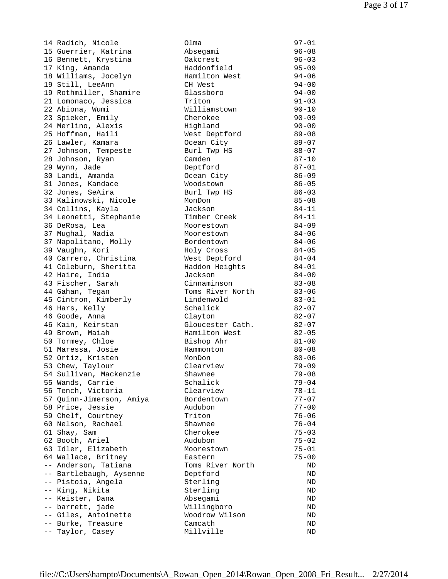14 Radich, Nicole 15 Guerrier, Katrina 16 Bennett, Krystina 17 King, Amanda 18 Williams, Jocelyn 19 Still, LeeAnn 19 Rothmiller, Shamire 21 Lomonaco, Jessica 22 Abiona, Wumi 23 Spieker, Emily 24 Merlino, Alexis 25 Hoffman, Haili 26 Lawler, Kamara 27 Johnson, Tempeste 28 Johnson, Ryan 29 Wynn, Jade 30 Landi, Amanda 31 Jones, Kandace 32 Jones, SeAira 33 Kalinowski, Nicole 34 Collins, Kayla 34 Leonetti, Stephanie 36 DeRosa, Lea 37 Mughal, Nadia 37 Napolitano, Molly 39 Vaughn, Kori 40 Carrero, Christina 41 Coleburn, Sheritta 42 Haire, India 43 Fischer, Sarah 44 Gahan, Tegan 45 Cintron, Kimberly 46 Hars, Kelly 46 Goode, Anna 46 Kain, Keirstan 49 Brown, Maiah 50 Tormey, Chloe 51 Maressa, Josie 52 Ortiz, Kristen 53 Chew, Taylour 54 Sullivan, Mackenzie 55 Wands, Carrie 56 Tench, Victoria 57 Ouinn-Jimerson, Amiya 58 Price, Jessie 59 Chelf, Courtney 60 Nelson, Rachael 61 Shay, Sam 62 Booth, Ariel 63 Idler, Elizabeth 64 Wallace, Britney -- Anderson, Tatiana -- Bartlebaugh, Aysenne -- Pistoia, Angela -- King, Nikita -- Keister, Dana -- barrett, jade -- Giles, Antoinette -- Burke, Treasure -- Taylor, Casey

| Olma             | $97 - 01$ |
|------------------|-----------|
| Absegami         | $96 - 08$ |
| Oakcrest         | $96 - 03$ |
| Haddonfield      | $95 - 09$ |
| Hamilton West    | $94 - 06$ |
| CH West          | $94 - 00$ |
| Glassboro        | $94 - 00$ |
| Triton           | $91 - 03$ |
| Williamstown     | $90 - 10$ |
| Cherokee         | $90 - 09$ |
| Highland         | $90 - 00$ |
| West Deptford    | $89 - 08$ |
| Ocean City       | $89 - 07$ |
| Burl Twp HS      | $88 - 07$ |
| Camden           | $87 - 10$ |
| Deptford         | $87 - 01$ |
| Ocean City       | $86 - 09$ |
| Woodstown        | $86 - 05$ |
|                  | $86 - 03$ |
| Burl Twp HS      |           |
| MonDon           | $85 - 08$ |
| Jackson          | $84 - 11$ |
| Timber Creek     | $84 - 11$ |
| Moorestown       | $84 - 09$ |
| Moorestown       | $84 - 06$ |
| Bordentown       | $84 - 06$ |
| Holy Cross       | $84 - 05$ |
| West Deptford    | $84 - 04$ |
| Haddon Heights   | $84 - 01$ |
| Jackson          | $84 - 00$ |
| Cinnaminson      | $83 - 08$ |
| Toms River North | $83 - 06$ |
| Lindenwold       | $83 - 01$ |
| Schalick         | $82 - 07$ |
| Clayton          | $82 - 07$ |
| Gloucester Cath. | $82 - 07$ |
| Hamilton West    | $82 - 05$ |
| Bishop Ahr       | $81 - 00$ |
| Hammonton        | $80 - 08$ |
| MonDon           | $80 - 06$ |
| Clearview        | $79 - 09$ |
| Shawnee          | $79 - 08$ |
| Schalick         | $79 - 04$ |
| Clearview        | $78 - 11$ |
| Bordentown       | $77 - 07$ |
| Audubon          | $77 - 00$ |
| Triton           | $76 - 06$ |
| Shawnee          | $76 - 04$ |
| Cherokee         | $75 - 03$ |
| Audubon          | $75 - 02$ |
| Moorestown       | $75 - 01$ |
| Eastern          | $75 - 00$ |
|                  |           |
| Toms River North | ΝD        |
| Deptford         | ΝD        |
| Sterling         | ΝD        |
| Sterling         | ΝD        |
| Absegami         | ΝD        |
| Willingboro      | ΝD        |
| Woodrow Wilson   | ΝD        |
| Camcath          | ΝD        |
| Millville        | ΝD        |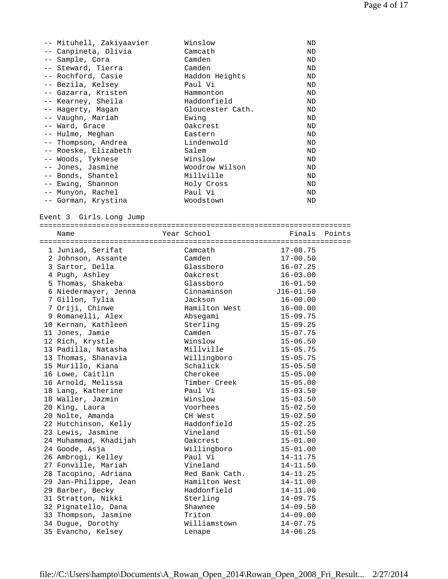| -- Mituhell, Zakiyaavier                | Winslow                | ND                           |
|-----------------------------------------|------------------------|------------------------------|
| -- Canpineta, Olivia                    | Camcath                | ND                           |
| -- Sample, Cora                         | Camden                 | ND                           |
| -- Steward, Tierra                      | Camden                 | ND                           |
| -- Rochford, Casie                      |                        |                              |
|                                         | Haddon Heights         | ND                           |
| -- Bezila, Kelsey                       | Paul Vi                | ND                           |
| -- Gazarra, Kristen                     | Hammonton              | ND                           |
| -- Kearney, Sheila                      | Haddonfield            | ND                           |
| -- Hagerty, Magan                       | Gloucester Cath.       | ND                           |
| -- Vaughn, Mariah                       | Ewing                  | ND                           |
| -- Ward, Grace                          | Oakcrest               | ND                           |
| -- Hulme, Meghan                        | Eastern                | ND                           |
| -- Thompson, Andrea                     | Lindenwold             | ND                           |
| -- Roeske, Elizabeth                    | Salem                  | ND                           |
| -- Woods, Tyknese                       | Winslow                | ND                           |
|                                         |                        |                              |
| -- Jones, Jasmine                       | Woodrow Wilson         | ND                           |
| -- Bonds, Shantel                       | Millville              | ND                           |
| -- Ewing, Shannon                       | Holy Cross             | ND                           |
| -- Munyon, Rachel                       | Paul Vi                | ND                           |
| -- Gorman, Krystina                     | Woodstown              | ND                           |
|                                         |                        |                              |
| Event 3 Girls Long Jump                 |                        |                              |
|                                         |                        |                              |
| Name                                    | Year School            | Finals<br>Points             |
|                                         |                        |                              |
| 1 Juniad, Serifat                       | Camcath                | $17 - 08.75$                 |
| 2 Johnson, Assante                      | Camden                 | $17 - 00.50$                 |
|                                         | Glassboro              | $16 - 07.25$                 |
| 3 Sartor, Della                         |                        |                              |
| 4 Pugh, Ashley                          | Oakcrest               | $16 - 03.00$                 |
| 5 Thomas, Shakeba                       | Glassboro              | $16 - 01.50$                 |
| 6 Niedermayer, Jenna                    | Cinnaminson            | $J16 - 01.50$                |
| 7 Gillon, Tylia                         | Jackson                | $16 - 00.00$                 |
| 7 Oriji, Chinwe                         | Hamilton West          | $16 - 00.00$                 |
| 9 Romanelli, Alex                       | Absegami               | $15 - 09.75$                 |
|                                         |                        | $15 - 09.25$                 |
|                                         |                        |                              |
| 10 Kernan, Kathleen                     | Sterling               |                              |
| 11 Jones, Jamie                         | Camden                 | $15 - 07.75$                 |
| 12 Rich, Krystle                        | Winslow                | $15 - 06.50$                 |
| 13 Padilla, Natasha                     | Millville              | $15 - 05.75$                 |
| 13 Thomas, Shanavia                     | Willingboro            | $15 - 05.75$                 |
| 15 Murillo, Kiana                       | Schalick               | $15 - 05.50$                 |
| 16 Lowe, Caitlin                        | Cherokee               | $15 - 05.00$                 |
| 16 Arnold, Melissa                      | Timber Creek           | $15 - 05.00$                 |
| 18 Lang, Katherine                      | Paul Vi                | $15 - 03.50$                 |
| 18 Waller, Jazmin                       | Winslow                | $15 - 03.50$                 |
|                                         |                        |                              |
| 20 King, Laura                          | Voorhees               | $15 - 02.50$                 |
| 20 Nolte, Amanda                        | CH West                | $15 - 02.50$                 |
| 22 Hutchinson, Kelly                    | Haddonfield            | $15 - 02.25$                 |
| 23 Lewis, Jasmine                       | Vineland               | $15 - 01.50$                 |
| 24 Muhammad, Khadijah                   | Oakcrest               | $15 - 01.00$                 |
| 24 Goode, Asja                          | Willingboro            | $15 - 01.00$                 |
| 26 Ambrogi, Kelley                      | Paul Vi                | $14 - 11.75$                 |
| 27 Fonville, Mariah                     | Vineland               | $14 - 11.50$                 |
| 28 Tacopino, Adriana                    | Red Bank Cath.         | $14 - 11.25$                 |
| 29 Jan-Philippe, Jean                   | Hamilton West          | $14 - 11.00$                 |
|                                         | Haddonfield            |                              |
| 29 Barber, Becky                        |                        | $14 - 11.00$                 |
| 31 Stratton, Nikki                      | Sterling               | $14 - 09.75$                 |
| 32 Pignatello, Dana                     | Shawnee                | $14 - 09.50$                 |
| 33 Thompson, Jasmine                    | Triton                 | $14 - 09.00$                 |
| 34 Dugue, Dorothy<br>35 Evancho, Kelsey | Williamstown<br>Lenape | $14 - 07.75$<br>$14 - 06.25$ |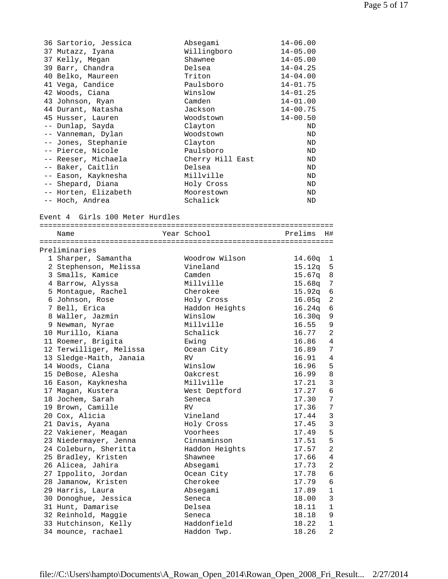| 36 Sartorio, Jessica                | Absegami               | $14 - 06.00$                 |
|-------------------------------------|------------------------|------------------------------|
| 37 Mutazz, Iyana<br>37 Kelly, Megan | Willingboro<br>Shawnee | $14 - 05.00$<br>$14 - 05.00$ |
| 39 Barr, Chandra                    | Delsea                 | $14 - 04.25$                 |
| 40 Belko, Maureen                   | Triton                 | $14 - 04.00$                 |
| 41 Vega, Candice                    | Paulsboro              | $14 - 01.75$                 |
| 42 Woods, Ciana                     | Winslow                | $14 - 01.25$                 |
| 43 Johnson, Ryan                    | Camden                 | $14 - 01.00$                 |
| 44 Durant, Natasha                  | Jackson                | $14 - 00.75$                 |
| 45 Husser, Lauren                   | Woodstown              | $14 - 00.50$                 |
| -- Dunlap, Sayda                    | Clayton                | ND                           |
| -- Vanneman, Dylan                  | Woodstown              | ND                           |
| -- Jones, Stephanie                 | Clayton                | ND                           |
| -- Pierce, Nicole                   | Paulsboro              | ND                           |
| -- Reeser, Michaela                 | Cherry Hill East       | ND                           |
| -- Baker, Caitlin                   | Delsea                 | ND                           |
| -- Eason, Kayknesha                 | Millville              | ND                           |
| -- Shepard, Diana                   | Holy Cross             | ND                           |
| -- Horten, Elizabeth                | Moorestown             | ND                           |
| -- Hoch, Andrea                     | Schalick               | ND                           |
|                                     |                        |                              |
| Event 4 Girls 100 Meter Hurdles     |                        |                              |
| Name                                | Year School            | Prelims<br>H#                |
|                                     |                        |                              |
| Preliminaries                       |                        |                              |
| 1 Sharper, Samantha                 | Woodrow Wilson         | 14.60q 1                     |
| 2 Stephenson, Melissa               | Vineland               | 15.12q 5                     |
| 3 Smalls, Kamice                    | Camden                 | $15.67q$ 8                   |
| 4 Barrow, Alyssa                    | Millville              | 15.68q<br>7                  |
| 5 Montague, Rachel                  | Cherokee               | 15.92q<br>6                  |
| 6 Johnson, Rose                     | Holy Cross             | 2<br>16.05q                  |
| 7 Bell, Erica                       | Haddon Heights         | 6<br>16.24q                  |
| 8 Waller, Jazmin                    | Winslow                | 16.30q<br>9                  |
| 9 Newman, Nyrae                     | Millville              | 16.55<br>9                   |
| 10 Murillo, Kiana                   | Schalick               | 16.77<br>2                   |
| 11 Roemer, Brigita                  | Ewing                  | 16.86<br>4                   |
| 12 Terwilliger, Melissa             | Ocean City             | 16.89<br>7                   |
| 13 Sledge-Maith, Janaia             | <b>RV</b>              | $\overline{4}$<br>16.91      |
| 14 Woods, Ciana                     | Winslow                | 5<br>16.96                   |
| 15 DeBose, Alesha                   | Oakcrest               | 16.99<br>8                   |
| 16 Eason, Kayknesha                 | Millville              | 17.21<br>3                   |
| 17 Magan, Kustera                   | West Deptford          | 6<br>17.27                   |
| 18 Jochem, Sarah                    | Seneca                 | 17.30<br>7                   |
| 19 Brown, Camille                   | RV                     | 17.36<br>7                   |
| 20 Cox, Alicia                      | Vineland               | $\mathfrak{Z}$<br>17.44      |
| 21 Davis, Ayana                     | Holy Cross             | $\mathfrak{Z}$<br>17.45      |
| 22 Vakiener, Meagan                 | Voorhees               | 5<br>17.49                   |
| 23 Niedermayer, Jenna               | Cinnaminson            | 5<br>17.51                   |
| 24 Coleburn, Sheritta               | Haddon Heights         | $\overline{a}$<br>17.57      |
| 25 Bradley, Kristen                 | Shawnee                | 17.66<br>4                   |
| 26 Alicea, Jahira                   | Absegami               | 17.73<br>$\overline{a}$      |
| 27 Ippolito, Jordan                 | Ocean City             | 17.78<br>6                   |
| 28 Jamanow, Kristen                 | Cherokee               | 17.79<br>6                   |
| 29 Harris, Laura                    | Absegami               | 17.89<br>$\mathbf{1}$        |
| 30 Donoghue, Jessica                | Seneca                 | 3<br>18.00                   |
| 31 Hunt, Damarise                   | Delsea                 | $\mathbf{1}$<br>18.11        |
| 32 Reinhold, Maggie                 | Seneca                 | 18.18<br>9                   |
| 33 Hutchinson, Kelly                | Haddonfield            | 18.22<br>$\mathbf{1}$        |
| 34 mounce, rachael                  | Haddon Twp.            | $\overline{a}$<br>18.26      |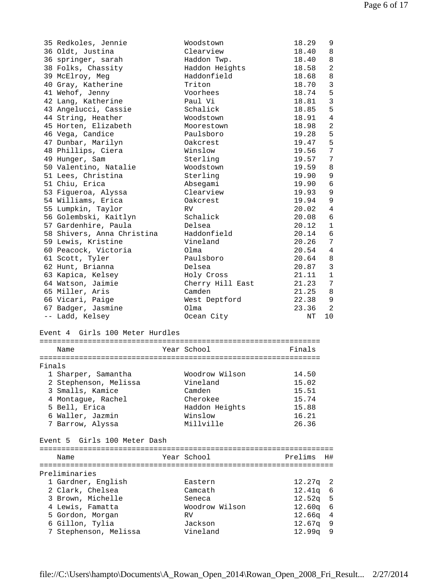|        | 35 Redkoles, Jennie             | Woodstown        | 18.29<br>9              |
|--------|---------------------------------|------------------|-------------------------|
|        | 36 Oldt, Justina                | Clearview        | 18.40<br>8              |
|        | 36 springer, sarah              | Haddon Twp.      | 18.40<br>8              |
|        | 38 Folks, Chassity              | Haddon Heights   | 2<br>18.58              |
|        | 39 McElroy, Meg                 | Haddonfield      | 18.68<br>8              |
|        | 40 Gray, Katherine              | Triton           | 3<br>18.70              |
|        | 41 Wehof, Jenny                 | Voorhees         | 5<br>18.74              |
|        | 42 Lang, Katherine              | Paul Vi          | $\mathbf{3}$<br>18.81   |
|        | 43 Angelucci, Cassie            | Schalick         | 5<br>18.85              |
|        | 44 String, Heather              | Woodstown        | 4<br>18.91              |
|        | 45 Horten, Elizabeth            | Moorestown       | 2<br>18.98              |
|        | 46 Vega, Candice                | Paulsboro        | 5<br>19.28              |
|        | 47 Dunbar, Marilyn              | Oakcrest         | 5<br>19.47              |
|        | 48 Phillips, Ciera              | Winslow          | 19.56<br>7              |
|        | 49 Hunger, Sam                  | Sterling         | 19.57<br>7              |
|        | 50 Valentino, Natalie           | Woodstown        | 19.59<br>8              |
|        | 51 Lees, Christina              | Sterling         | 19.90<br>9              |
|        | 51 Chiu, Erica                  |                  | 6                       |
|        |                                 | Absegami         | 19.90                   |
|        | 53 Figueroa, Alyssa             | Clearview        | 19.93<br>9              |
|        | 54 Williams, Erica              | Oakcrest         | 9<br>19.94              |
|        | 55 Lumpkin, Taylor              | RV.              | 4<br>20.02              |
|        | 56 Golembski, Kaitlyn           | Schalick         | 20.08<br>6              |
|        | 57 Gardenhire, Paula            | Delsea           | 20.12<br>1              |
|        | 58 Shivers, Anna Christina      | Haddonfield      | 6<br>20.14              |
|        | 59 Lewis, Kristine              | Vineland         | 20.26<br>7              |
|        | 60 Peacock, Victoria            | O1ma             | 20.54<br>$\overline{4}$ |
|        | 61 Scott, Tyler                 | Paulsboro        | 20.64<br>8              |
|        | 62 Hunt, Brianna                | Delsea           | 3<br>20.87              |
|        | 63 Kapica, Kelsey               | Holy Cross       | 21.11<br>1              |
|        | 64 Watson, Jaimie               | Cherry Hill East | 21.23<br>7              |
|        | 65 Miller, Aris                 | Camden           | 21.25<br>8              |
|        | 66 Vicari, Paige                | West Deptford    | 22.38<br>9              |
|        | 67 Badger, Jasmine              | Olma             | 2<br>23.36              |
|        | -- Ladd, Kelsey                 | Ocean City       | 10<br>NT                |
|        |                                 |                  |                         |
|        | Event 4 Girls 100 Meter Hurdles |                  |                         |
|        |                                 |                  |                         |
|        | Name                            | Year School      | Finals                  |
|        |                                 |                  |                         |
| Finals |                                 |                  |                         |
|        | 1 Sharper, Samantha             | Woodrow Wilson   | 14.50                   |
|        | 2 Stephenson, Melissa           | Vineland         | 15.02                   |
|        | 3 Smalls, Kamice                | Camden           | 15.51                   |
|        | 4 Montague, Rachel              | Cherokee         | 15.74                   |
|        | 5 Bell, Erica                   | Haddon Heights   | 15.88                   |
|        | 6 Waller, Jazmin                | Winslow          | 16.21                   |
|        | 7 Barrow, Alyssa                | Millville        | 26.36                   |
|        |                                 |                  |                         |
|        | Event 5 Girls 100 Meter Dash    |                  |                         |
|        |                                 |                  |                         |
|        |                                 |                  |                         |
|        | Name                            | Year School      | Prelims<br>H#           |
|        |                                 |                  |                         |
|        | Preliminaries                   |                  |                         |
|        | 1 Gardner, English              | Eastern          | 12.27q<br>2             |
|        | 2 Clark, Chelsea                | Camcath          | 12.41q<br>6             |
|        | 3 Brown, Michelle               | Seneca           | $12.52q$ 5              |
|        | 4 Lewis, Famatta                | Woodrow Wilson   | $12.60q$ 6              |
|        | 5 Gordon, Morgan                | <b>RV</b>        | $12.66q$ 4              |
|        | 6 Gillon, Tylia                 | Jackson          | 12.67q<br>9             |
|        | 7 Stephenson, Melissa           | Vineland         | 12.99q<br>9             |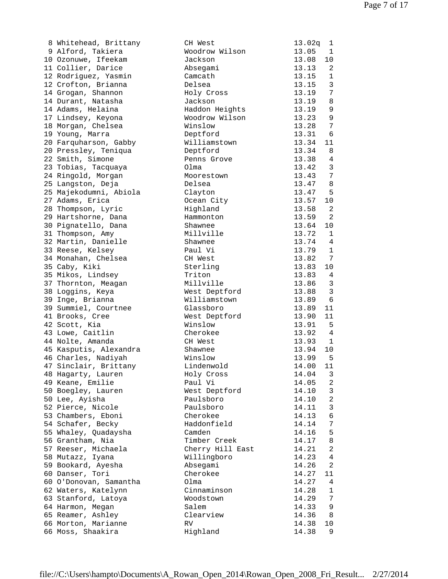| 8 Whitehead, Brittany  | CH West          | 13.02q         | $\mathbf{1}$    |
|------------------------|------------------|----------------|-----------------|
| 9 Alford, Takiera      | Woodrow Wilson   | 13.05          | $\mathbf{1}$    |
| 10 Ozonuwe, Ifeekam    | Jackson          | 13.08          | 10              |
| 11 Collier, Darice     | Absegami         | 13.13          | 2               |
| 12 Rodriguez, Yasmin   | Camcath          | 13.15          | 1               |
| 12 Crofton, Brianna    | Delsea           | 13.15          | $\overline{3}$  |
| 14 Grogan, Shannon     | Holy Cross       | 13.19          | $7\phantom{.0}$ |
| 14 Durant, Natasha     | Jackson          | 13.19          | 8               |
| 14 Adams, Helaina      | Haddon Heights   |                | 9               |
|                        |                  | 13.19<br>13.23 |                 |
| 17 Lindsey, Keyona     | Woodrow Wilson   |                | 9               |
| 18 Morgan, Chelsea     | Winslow          | 13.28          | 7               |
| 19 Young, Marra        | Deptford         | 13.31          | 6               |
| 20 Farquharson, Gabby  | Williamstown     | 13.34          | 11              |
| 20 Pressley, Teniqua   | Deptford         | 13.34          | 8               |
| 22 Smith, Simone       | Penns Grove      | 13.38          | 4               |
| 23 Tobias, Tacquaya    | Olma             | 13.42          | 3               |
| 24 Ringold, Morgan     | Moorestown       | 13.43          | $7\overline{ }$ |
| 25 Langston, Deja      | Delsea           | 13.47          | 8               |
| 25 Majekodumni, Abiola | Clayton          | 13.47          | - 5             |
| 27 Adams, Erica        | Ocean City       | 13.57          | 10              |
| 28 Thompson, Lyric     | Highland         | 13.58          | -2              |
| 29 Hartshorne, Dana    | Hammonton        | 13.59          | 2               |
|                        |                  |                |                 |
| 30 Pignatello, Dana    | Shawnee          | 13.64          | 10              |
| 31 Thompson, Amy       | Millville        | 13.72          | 1               |
| 32 Martin, Danielle    | Shawnee          | 13.74          | 4               |
| 33 Reese, Kelsey       | Paul Vi          | 13.79          | $\mathbf{1}$    |
| 34 Monahan, Chelsea    | CH West          | 13.82          | 7               |
| 35 Caby, Kiki          | Sterling         | 13.83          | 10              |
| 35 Mikos, Lindsey      | Triton           | 13.83          | $\overline{4}$  |
| 37 Thornton, Meagan    | Millville        | 13.86          | $\overline{3}$  |
| 38 Loggins, Keya       | West Deptford    | 13.88          | $\overline{3}$  |
| 39 Inge, Brianna       | Williamstown     | 13.89          | 6               |
| 39 Summiel, Courtnee   | Glassboro        | 13.89          | 11              |
| 41 Brooks, Cree        | West Deptford    | 13.90          | 11              |
| 42 Scott, Kia          | Winslow          | 13.91          | - 5             |
| 43 Lowe, Caitlin       | Cherokee         | 13.92          | $\overline{4}$  |
| 44 Nolte, Amanda       | CH West          | 13.93          | 1               |
| 45 Kasputis, Alexandra | Shawnee          | 13.94          | 10              |
| 46 Charles, Nadiyah    | Winslow          | 13.99          | - 5             |
| 47 Sinclair, Brittany  | Lindenwold       | 14.00 11       |                 |
|                        |                  |                |                 |
| 48 Hagarty, Lauren     | Holy Cross       | 14.04          | 3               |
| 49 Keane, Emilie       | Paul Vi          | 14.05          | 2               |
| 50 Boegley, Lauren     | West Deptford    | 14.10          | 3               |
| 50 Lee, Ayisha         | Paulsboro        | 14.10          | $\overline{a}$  |
| 52 Pierce, Nicole      | Paulsboro        | 14.11          | $\mathbf{3}$    |
| 53 Chambers, Eboni     | Cherokee         | 14.13          | 6               |
| 54 Schafer, Becky      | Haddonfield      | 14.14          | 7               |
| 55 Whaley, Quadaysha   | Camden           | 14.16          | 5               |
| 56 Grantham, Nia       | Timber Creek     | 14.17          | 8               |
| 57 Reeser, Michaela    | Cherry Hill East | 14.21          | 2               |
| 58 Mutazz, Iyana       | Willingboro      | 14.23          | 4               |
| 59 Bookard, Ayesha     | Absegami         | 14.26          | 2               |
| 60 Danser, Tori        | Cherokee         | 14.27          | 11              |
| 60 O'Donovan, Samantha | Olma             | 14.27          | 4               |
| 62 Waters, Katelynn    | Cinnaminson      | 14.28          | $\mathbf{1}$    |
| 63 Stanford, Latoya    | Woodstown        | 14.29          | 7               |
| 64 Harmon, Megan       | Salem            | 14.33          | 9               |
| 65 Reamer, Ashley      | Clearview        | 14.36          | 8               |
| 66 Morton, Marianne    | RV               | 14.38          | 10              |
| 66 Moss, Shaakira      | Highland         | 14.38          | 9               |
|                        |                  |                |                 |

| 8 Whitehead, Brittany  | CH West          | 13.02q | 1              |
|------------------------|------------------|--------|----------------|
| 9 Alford, Takiera      | Woodrow Wilson   | 13.05  | 1              |
| 10 Ozonuwe, Ifeekam    | Jackson          | 13.08  | 10             |
| 11 Collier, Darice     | Absegami         | 13.13  | 2              |
| 12 Rodriguez, Yasmin   | Camcath          | 13.15  | $\mathbf{1}$   |
| 12 Crofton, Brianna    | Delsea           | 13.15  | $\mathbf{3}$   |
| 14 Grogan, Shannon     | Holy Cross       | 13.19  | 7              |
| 14 Durant, Natasha     | Jackson          | 13.19  | 8              |
| 14 Adams, Helaina      |                  | 13.19  | 9              |
|                        | Haddon Heights   |        |                |
| 17 Lindsey, Keyona     | Woodrow Wilson   | 13.23  | 9              |
| 18 Morgan, Chelsea     | Winslow          | 13.28  | 7              |
| 19 Young, Marra        | Deptford         | 13.31  | 6              |
| 20 Farquharson, Gabby  | Williamstown     | 13.34  | 11             |
| 20 Pressley, Teniqua   | Deptford         | 13.34  | 8              |
| 22 Smith, Simone       | Penns Grove      | 13.38  | 4              |
| 23 Tobias, Tacquaya    | Olma             | 13.42  | 3              |
| 24 Ringold, Morgan     | Moorestown       | 13.43  | 7              |
| 25 Langston, Deja      | Delsea           | 13.47  | 8              |
| 25 Majekodumni, Abiola | Clayton          | 13.47  | 5              |
| 27 Adams, Erica        | Ocean City       | 13.57  | 10             |
| 28 Thompson, Lyric     | Highland         | 13.58  | 2              |
| 29 Hartshorne, Dana    | Hammonton        | 13.59  | 2              |
| 30 Pignatello, Dana    | Shawnee          | 13.64  | 10             |
| 31 Thompson, Amy       | Millville        | 13.72  | $\mathbf{1}$   |
| 32 Martin, Danielle    |                  | 13.74  | 4              |
|                        | Shawnee          |        |                |
| 33 Reese, Kelsey       | Paul Vi          | 13.79  | 1              |
| 34 Monahan, Chelsea    | CH West          | 13.82  | 7              |
| 35 Caby, Kiki          | Sterling         | 13.83  | 10             |
| 35 Mikos, Lindsey      | Triton           | 13.83  | 4              |
| 37 Thornton, Meagan    | Millville        | 13.86  | 3              |
| 38 Loggins, Keya       | West Deptford    | 13.88  | $\mathbf{3}$   |
| 39 Inge, Brianna       | Williamstown     | 13.89  | 6              |
| 39 Summiel, Courtnee   | Glassboro        | 13.89  | 11             |
| 41 Brooks, Cree        | West Deptford    | 13.90  | 11             |
| 42 Scott, Kia          | Winslow          | 13.91  | 5              |
| 43 Lowe, Caitlin       | Cherokee         | 13.92  | 4              |
| 44 Nolte, Amanda       | CH West          | 13.93  | 1              |
| 45 Kasputis, Alexandra | Shawnee          | 13.94  | 10             |
| 46 Charles, Nadiyah    | Winslow          | 13.99  | 5              |
| 47 Sinclair, Brittany  | Lindenwold       | 14.00  | 11             |
| 48 Hagarty, Lauren     | Holy Cross       | 14.04  | 3              |
| 49 Keane, Emilie       | Paul Vi          | 14.05  | 2              |
| 50 Boegley, Lauren     | West Deptford    | 14.10  | 3              |
| 50 Lee, Ayisha         | Paulsboro        | 14.10  | $\overline{a}$ |
| 52 Pierce, Nicole      | Paulsboro        | 14.11  | 3              |
|                        | Cherokee         | 14.13  | 6              |
| 53 Chambers, Eboni     |                  |        |                |
| 54 Schafer, Becky      | Haddonfield      | 14.14  | 7              |
| 55 Whaley, Quadaysha   | Camden           | 14.16  | 5              |
| 56 Grantham, Nia       | Timber Creek     | 14.17  | 8              |
| 57 Reeser, Michaela    | Cherry Hill East | 14.21  | $\overline{a}$ |
| 58 Mutazz, Iyana       | Willingboro      | 14.23  | 4              |
| 59 Bookard, Ayesha     | Absegami         | 14.26  | 2              |
| 60 Danser, Tori        | Cherokee         | 14.27  | 11             |
| 60 O'Donovan, Samantha | Olma             | 14.27  | 4              |
| 62 Waters, Katelynn    | Cinnaminson      | 14.28  | 1              |
| 63 Stanford, Latoya    | Woodstown        | 14.29  | 7              |
| 64 Harmon, Megan       | Salem            | 14.33  | 9              |
| 65 Reamer, Ashley      | Clearview        | 14.36  | 8              |
| 66 Morton, Marianne    | RV               | 14.38  | 10             |
| 66 Moss, Shaakira      | Highland         | 14.38  | 9              |
|                        |                  |        |                |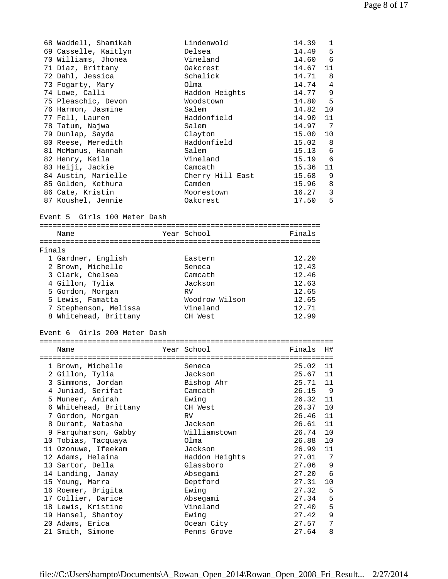|        | 68 Waddell, Shamikah               | Lindenwold           | 14.39<br>1                 |  |
|--------|------------------------------------|----------------------|----------------------------|--|
|        | 69 Casselle, Kaitlyn               | Delsea               | 14.49<br>5                 |  |
|        | 70 Williams, Jhonea                | Vineland             | 6<br>14.60                 |  |
|        | 71 Diaz, Brittany                  | Oakcrest             | 14.67<br>11                |  |
|        | 72 Dahl, Jessica                   | Schalick             | 14.71<br>8                 |  |
|        | 73 Fogarty, Mary                   | Olma                 | 14.74<br>$\overline{4}$    |  |
|        | 74 Lowe, Calli                     | Haddon Heights       | 14.77<br>- 9               |  |
|        | 75 Pleaschic, Devon                | Woodstown            | 14.80<br>-5                |  |
|        | 76 Harmon, Jasmine                 | Salem<br>Haddonfield | 14.82<br>10<br>14.90<br>11 |  |
|        | 77 Fell, Lauren<br>78 Tatum, Najwa | Salem                | 14.97<br>-7                |  |
|        | 79 Dunlap, Sayda                   | Clayton              | 15.00<br>10                |  |
|        | 80 Reese, Meredith                 | Haddonfield          | 15.02<br>- 8               |  |
|        | 81 McManus, Hannah                 | Salem                | 15.13<br>- 6               |  |
|        | 82 Henry, Keila                    | Vineland             | 15.19<br>- 6               |  |
|        | 83 Heiji, Jackie                   | Camcath              | 15.36<br>11                |  |
|        | 84 Austin, Marielle                | Cherry Hill East     | 9<br>15.68                 |  |
|        | 85 Golden, Kethura                 | Camden               | 15.96<br>-8                |  |
|        | 86 Cate, Kristin                   | Moorestown           | 16.27<br>3                 |  |
|        | 87 Koushel, Jennie                 | Oakcrest             | 5<br>17.50                 |  |
|        |                                    |                      |                            |  |
|        | Event 5 Girls 100 Meter Dash       |                      |                            |  |
|        |                                    |                      |                            |  |
|        | Name                               | Year School          | Finals                     |  |
| Finals |                                    |                      |                            |  |
|        | 1 Gardner, English                 | Eastern              | 12.20                      |  |
|        | 2 Brown, Michelle                  | Seneca               | 12.43                      |  |
|        | 3 Clark, Chelsea                   | Camcath              | 12.46                      |  |
|        | 4 Gillon, Tylia                    | Jackson              | 12.63                      |  |
|        | 5 Gordon, Morgan                   | RV.                  | 12.65                      |  |
|        | 5 Lewis, Famatta                   | Woodrow Wilson       | 12.65                      |  |
|        | 7 Stephenson, Melissa              | Vineland             | 12.71                      |  |
|        | 8 Whitehead, Brittany              | CH West              | 12.99                      |  |
|        |                                    |                      |                            |  |
|        | Event 6 Girls 200 Meter Dash       |                      |                            |  |
|        |                                    |                      |                            |  |
|        | Name                               | Year School          | H#<br>Finals               |  |
|        |                                    |                      |                            |  |
|        | 1 Brown, Michelle Seneca           |                      | 25.02 11                   |  |
|        | 2 Gillon, Tylia                    | Jackson              | 25.67<br>11                |  |
|        | 3 Simmons, Jordan                  | Bishop Ahr           | 25.71<br>11                |  |
|        | 4 Juniad, Serifat                  | Camcath              | 26.15<br>9                 |  |
|        | 5 Muneer, Amirah                   | Ewing                | 26.32<br>11                |  |
|        | 6 Whitehead, Brittany              | CH West              | 26.37<br>10                |  |
|        | 7 Gordon, Morgan                   | RV.                  | 26.46<br>11                |  |
|        | 8 Durant, Natasha                  | Jackson              | 11<br>26.61                |  |
|        | 9 Farquharson, Gabby               | Williamstown         | 26.74<br>$10 \,$           |  |
|        | 10 Tobias, Tacquaya                | Olma                 | 26.88<br>10                |  |
|        | 11 Ozonuwe, Ifeekam                | Jackson              | 26.99<br>11                |  |
|        | 12 Adams, Helaina                  | Haddon Heights       | 27.01<br>7                 |  |
|        | 13 Sartor, Della                   | Glassboro            | 27.06<br>9                 |  |
|        | 14 Landing, Janay                  | Absegami             | 27.20<br>-6                |  |
|        | 15 Young, Marra                    | Deptford             | 27.31<br>$10$              |  |
|        | 16 Roemer, Brigita                 | Ewing                | 27.32<br>5                 |  |
|        | 17 Collier, Darice                 | Absegami             | 27.34<br>5                 |  |
|        | 18 Lewis, Kristine                 | Vineland             | 27.40<br>5                 |  |
|        | 19 Hansel, Shantoy                 | Ewing                | 27.42<br>9                 |  |
|        | 20 Adams, Erica                    | Ocean City           | 27.57<br>7                 |  |
|        | 21 Smith, Simone                   | Penns Grove          | 27.64<br>8                 |  |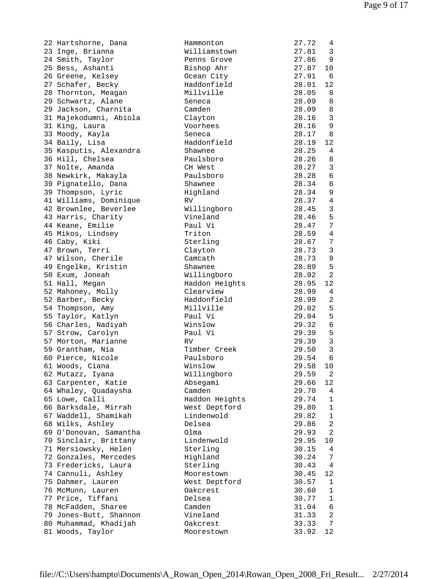| 22 Hartshorne, Dana                   | ŀ            |
|---------------------------------------|--------------|
| 23 Inge, Brianna                      | V            |
| 24 Smith, Taylor                      | Ε            |
| 25 Bess, Ashanti                      | Ε            |
| 26 Greene, Kelsey                     | $\mathsf{C}$ |
| 27 Schafer, Becky                     | ŀ            |
| 28 Thornton, Meagan                   | Ņ            |
| 29 Schwartz, Alane                    | S            |
| 29 Jackson, Charnita                  | C            |
| 31 Majekodumni, Abiola                | C            |
| 31 King, Laura                        | J            |
|                                       | S            |
| 33 Moody, Kayla                       |              |
| 34 Baily, Lisa                        | ŀ            |
| 35 Kasputis, Alexandra                | S            |
| 36 Hill, Chelsea                      | E            |
| 37 Nolte, Amanda                      | $\subset$    |
| 38 Newkirk, Makayla                   | Ε            |
| 39 Pignatello, Dana                   | S            |
| 39 Thompson, Lyric                    | $\mathbb{F}$ |
| 41 Williams, Dominique                | F            |
| 42 Brownlee, Beverlee                 | V            |
| 43 Harris, Charity                    | J            |
|                                       | Ε            |
| 44 Keane, Emilie<br>45 Mikos, Lindsey | I            |
| 46 Caby, Kiki                         | S            |
| 47 Brown, Terri                       | $\mathsf{C}$ |
|                                       |              |
| 47 Wilson, Cherile                    | C            |
| 49 Engelke, Kristin                   | S,           |
| 50 Exum, Joneah                       | V            |
| 51 Hall, Megan                        | ŀ            |
| 52 Mahoney, Molly                     | $\mathsf{C}$ |
| 52 Barber, Becky                      | ŀ            |
| 54 Thompson, Amy                      | Ņ            |
| 55 Taylor, Katlyn                     | Ε            |
| 56 Charles, Nadiyah                   | V            |
| 57 Strow, Carolyn                     | Ε            |
| 57 Morton, Marianne                   | F            |
| 59 Grantham, Nia                      | Ţ            |
| 60 Pierce, Nicole                     | E            |
|                                       |              |
| 61 Woods, Ciana                       | V            |
| 62 Mutazz, Iyana                      | V            |
| 63 Carpenter, Katie                   | ŀ            |
| 64 Whaley, Quadaysha                  | C            |
| 65 Lowe, Calli                        | ŀ            |
| 66 Barksdale, Mirrah                  | V            |
| 67 Waddell, Shamikah                  | Ι            |
| 68 Wilks, Ashley                      | Ι            |
| 69 O'Donovan, Samantha                | C            |
| 70 Sinclair, Brittany                 | Ι            |
| 71 Mersiowsky, Helen                  | S            |
| 72 Gonzales, Mercedes                 | ŀ            |
| 73 Fredericks, Laura                  | Č            |
|                                       |              |
| 74 Cannuli, Ashley                    | Ņ            |
| 75 Dahmer, Lauren                     | V            |
| 76 McMunn, Lauren                     |              |
| 77 Price, Tiffani                     | Ι            |
| 78 McFadden, Sharee                   | C            |
| 79 Jones-Butt, Shannon                | J            |
| 80 Muhammad, Khadijah                 | C            |
| 81 Woods, Taylor                      | Ņ            |

| Williamstown<br>27.81<br>23 Inge, Brianna<br>3<br>24 Smith, Taylor<br>27.86<br>9<br>Penns Grove<br>25 Bess, Ashanti<br>Bishop Ahr<br>27.87<br>10<br>26 Greene, Kelsey<br>Ocean City<br>27.91<br>6<br>27 Schafer, Becky<br>Haddonfield<br>28.01<br>12<br>Millville<br>28.05<br>28 Thornton, Meagan<br>8<br>8<br>29 Schwartz, Alane<br>28.09<br>Seneca<br>29 Jackson, Charnita<br>Camden<br>28.09<br>8<br>31 Majekodumni, Abiola<br>$\overline{3}$<br>Clayton<br>28.16<br>31 King, Laura<br>Voorhees<br>28.16<br>9<br>33 Moody, Kayla<br>28.17<br>8<br>Seneca<br>34 Baily, Lisa<br>Haddonfield<br>28.19<br>12<br>35 Kasputis, Alexandra<br>28.25<br>Shawnee<br>4<br>36 Hill, Chelsea<br>Paulsboro<br>28.26<br>8<br>3<br>37 Nolte, Amanda<br>28.27<br>CH West<br>6<br>38 Newkirk, Makayla<br>Paulsboro<br>28.28<br>28.34<br>6<br>39 Pignatello, Dana<br>Shawnee<br>28.34<br>9<br>39 Thompson, Lyric<br>Highland<br>41 Williams, Dominique<br>28.37<br>4<br>RV<br>42 Brownlee, Beverlee<br>$\overline{3}$<br>Willingboro<br>28.45<br>5<br>43 Harris, Charity<br>Vineland<br>28.46<br>Paul Vi<br>7<br>44 Keane, Emilie<br>28.47<br>45 Mikos, Lindsey<br>28.59<br>$\overline{4}$<br>Triton<br>46 Caby, Kiki<br>Sterling<br>28.67<br>7<br>$\overline{3}$<br>47 Brown, Terri<br>Clayton<br>28.73<br>9<br>47 Wilson, Cherile<br>Camcath<br>28.73<br>49 Engelke, Kristin<br>5<br>Shawnee<br>28.89<br>2<br>50 Exum, Joneah<br>Willingboro<br>28.92<br>51 Hall, Megan<br>12<br>Haddon Heights<br>28.95<br>52 Mahoney, Molly<br>Clearview<br>28.99<br>$\overline{4}$<br>52 Barber, Becky<br>Haddonfield<br>28.99<br>2<br>54 Thompson, Amy<br>Millville<br>5<br>29.02<br>5<br>55 Taylor, Katlyn<br>Paul Vi<br>29.04<br>$\sqrt{6}$<br>56 Charles, Nadiyah<br>Winslow<br>29.32<br>5<br>Paul Vi<br>29.39<br>57 Strow, Carolyn<br>$\mathbf{3}$<br>57 Morton, Marianne<br>RV<br>29.39<br>$\overline{3}$<br>59 Grantham, Nia<br>29.50<br>Timber Creek<br>6<br>60 Pierce, Nicole<br>29.54<br>Paulsboro<br>29.58 10<br>61 Woods, Ciana<br>Winslow<br>29.59<br>62 Mutazz, Iyana<br>Willingboro<br>2<br>63 Carpenter, Katie<br>29.66<br>Absegami<br>12<br>64 Whaley, Quadaysha<br>Camden<br>29.70<br>4<br>Haddon Heights<br>65 Lowe, Calli<br>29.74<br>1<br>66 Barksdale, Mirrah<br>West Deptford<br>29.80<br>1<br>67 Waddell, Shamikah<br>Lindenwold<br>29.82<br>1<br>68 Wilks, Ashley<br>Delsea<br>29.86<br>2<br>69 O'Donovan, Samantha<br>Olma<br>29.93<br>2<br>70 Sinclair, Brittany<br>Lindenwold<br>29.95<br>10<br>71 Mersiowsky, Helen<br>Sterling<br>30.15<br>4<br>72 Gonzales, Mercedes<br>Highland<br>30.24<br>7<br>73 Fredericks, Laura<br>Sterling<br>30.43<br>4<br>74 Cannuli, Ashley<br>30.45<br>12<br>Moorestown<br>75 Dahmer, Lauren<br>West Deptford<br>30.57<br>1<br>76 McMunn, Lauren<br>Oakcrest<br>30.60<br>$\mathbf{1}$<br>77 Price, Tiffani<br>Delsea<br>30.77<br>1<br>78 McFadden, Sharee<br>Camden<br>31.04<br>6<br>79 Jones-Butt, Shannon<br>Vineland<br>31.33<br>2<br>80 Muhammad, Khadijah<br>33.33<br>Oakcrest<br>7<br>81 Woods, Taylor<br>Moorestown<br>33.92<br>12 | 22 Hartshorne, Dana | Hammonton | 27.72 | 4 |
|---------------------------------------------------------------------------------------------------------------------------------------------------------------------------------------------------------------------------------------------------------------------------------------------------------------------------------------------------------------------------------------------------------------------------------------------------------------------------------------------------------------------------------------------------------------------------------------------------------------------------------------------------------------------------------------------------------------------------------------------------------------------------------------------------------------------------------------------------------------------------------------------------------------------------------------------------------------------------------------------------------------------------------------------------------------------------------------------------------------------------------------------------------------------------------------------------------------------------------------------------------------------------------------------------------------------------------------------------------------------------------------------------------------------------------------------------------------------------------------------------------------------------------------------------------------------------------------------------------------------------------------------------------------------------------------------------------------------------------------------------------------------------------------------------------------------------------------------------------------------------------------------------------------------------------------------------------------------------------------------------------------------------------------------------------------------------------------------------------------------------------------------------------------------------------------------------------------------------------------------------------------------------------------------------------------------------------------------------------------------------------------------------------------------------------------------------------------------------------------------------------------------------------------------------------------------------------------------------------------------------------------------------------------------------------------------------------------------------------------------------------------------------------------------------------------------------------------------------------------------------------------------------------------------------------------------------------------------------------------------------------------------------------------------------------------------------|---------------------|-----------|-------|---|
|                                                                                                                                                                                                                                                                                                                                                                                                                                                                                                                                                                                                                                                                                                                                                                                                                                                                                                                                                                                                                                                                                                                                                                                                                                                                                                                                                                                                                                                                                                                                                                                                                                                                                                                                                                                                                                                                                                                                                                                                                                                                                                                                                                                                                                                                                                                                                                                                                                                                                                                                                                                                                                                                                                                                                                                                                                                                                                                                                                                                                                                                           |                     |           |       |   |
|                                                                                                                                                                                                                                                                                                                                                                                                                                                                                                                                                                                                                                                                                                                                                                                                                                                                                                                                                                                                                                                                                                                                                                                                                                                                                                                                                                                                                                                                                                                                                                                                                                                                                                                                                                                                                                                                                                                                                                                                                                                                                                                                                                                                                                                                                                                                                                                                                                                                                                                                                                                                                                                                                                                                                                                                                                                                                                                                                                                                                                                                           |                     |           |       |   |
|                                                                                                                                                                                                                                                                                                                                                                                                                                                                                                                                                                                                                                                                                                                                                                                                                                                                                                                                                                                                                                                                                                                                                                                                                                                                                                                                                                                                                                                                                                                                                                                                                                                                                                                                                                                                                                                                                                                                                                                                                                                                                                                                                                                                                                                                                                                                                                                                                                                                                                                                                                                                                                                                                                                                                                                                                                                                                                                                                                                                                                                                           |                     |           |       |   |
|                                                                                                                                                                                                                                                                                                                                                                                                                                                                                                                                                                                                                                                                                                                                                                                                                                                                                                                                                                                                                                                                                                                                                                                                                                                                                                                                                                                                                                                                                                                                                                                                                                                                                                                                                                                                                                                                                                                                                                                                                                                                                                                                                                                                                                                                                                                                                                                                                                                                                                                                                                                                                                                                                                                                                                                                                                                                                                                                                                                                                                                                           |                     |           |       |   |
|                                                                                                                                                                                                                                                                                                                                                                                                                                                                                                                                                                                                                                                                                                                                                                                                                                                                                                                                                                                                                                                                                                                                                                                                                                                                                                                                                                                                                                                                                                                                                                                                                                                                                                                                                                                                                                                                                                                                                                                                                                                                                                                                                                                                                                                                                                                                                                                                                                                                                                                                                                                                                                                                                                                                                                                                                                                                                                                                                                                                                                                                           |                     |           |       |   |
|                                                                                                                                                                                                                                                                                                                                                                                                                                                                                                                                                                                                                                                                                                                                                                                                                                                                                                                                                                                                                                                                                                                                                                                                                                                                                                                                                                                                                                                                                                                                                                                                                                                                                                                                                                                                                                                                                                                                                                                                                                                                                                                                                                                                                                                                                                                                                                                                                                                                                                                                                                                                                                                                                                                                                                                                                                                                                                                                                                                                                                                                           |                     |           |       |   |
|                                                                                                                                                                                                                                                                                                                                                                                                                                                                                                                                                                                                                                                                                                                                                                                                                                                                                                                                                                                                                                                                                                                                                                                                                                                                                                                                                                                                                                                                                                                                                                                                                                                                                                                                                                                                                                                                                                                                                                                                                                                                                                                                                                                                                                                                                                                                                                                                                                                                                                                                                                                                                                                                                                                                                                                                                                                                                                                                                                                                                                                                           |                     |           |       |   |
|                                                                                                                                                                                                                                                                                                                                                                                                                                                                                                                                                                                                                                                                                                                                                                                                                                                                                                                                                                                                                                                                                                                                                                                                                                                                                                                                                                                                                                                                                                                                                                                                                                                                                                                                                                                                                                                                                                                                                                                                                                                                                                                                                                                                                                                                                                                                                                                                                                                                                                                                                                                                                                                                                                                                                                                                                                                                                                                                                                                                                                                                           |                     |           |       |   |
|                                                                                                                                                                                                                                                                                                                                                                                                                                                                                                                                                                                                                                                                                                                                                                                                                                                                                                                                                                                                                                                                                                                                                                                                                                                                                                                                                                                                                                                                                                                                                                                                                                                                                                                                                                                                                                                                                                                                                                                                                                                                                                                                                                                                                                                                                                                                                                                                                                                                                                                                                                                                                                                                                                                                                                                                                                                                                                                                                                                                                                                                           |                     |           |       |   |
|                                                                                                                                                                                                                                                                                                                                                                                                                                                                                                                                                                                                                                                                                                                                                                                                                                                                                                                                                                                                                                                                                                                                                                                                                                                                                                                                                                                                                                                                                                                                                                                                                                                                                                                                                                                                                                                                                                                                                                                                                                                                                                                                                                                                                                                                                                                                                                                                                                                                                                                                                                                                                                                                                                                                                                                                                                                                                                                                                                                                                                                                           |                     |           |       |   |
|                                                                                                                                                                                                                                                                                                                                                                                                                                                                                                                                                                                                                                                                                                                                                                                                                                                                                                                                                                                                                                                                                                                                                                                                                                                                                                                                                                                                                                                                                                                                                                                                                                                                                                                                                                                                                                                                                                                                                                                                                                                                                                                                                                                                                                                                                                                                                                                                                                                                                                                                                                                                                                                                                                                                                                                                                                                                                                                                                                                                                                                                           |                     |           |       |   |
|                                                                                                                                                                                                                                                                                                                                                                                                                                                                                                                                                                                                                                                                                                                                                                                                                                                                                                                                                                                                                                                                                                                                                                                                                                                                                                                                                                                                                                                                                                                                                                                                                                                                                                                                                                                                                                                                                                                                                                                                                                                                                                                                                                                                                                                                                                                                                                                                                                                                                                                                                                                                                                                                                                                                                                                                                                                                                                                                                                                                                                                                           |                     |           |       |   |
|                                                                                                                                                                                                                                                                                                                                                                                                                                                                                                                                                                                                                                                                                                                                                                                                                                                                                                                                                                                                                                                                                                                                                                                                                                                                                                                                                                                                                                                                                                                                                                                                                                                                                                                                                                                                                                                                                                                                                                                                                                                                                                                                                                                                                                                                                                                                                                                                                                                                                                                                                                                                                                                                                                                                                                                                                                                                                                                                                                                                                                                                           |                     |           |       |   |
|                                                                                                                                                                                                                                                                                                                                                                                                                                                                                                                                                                                                                                                                                                                                                                                                                                                                                                                                                                                                                                                                                                                                                                                                                                                                                                                                                                                                                                                                                                                                                                                                                                                                                                                                                                                                                                                                                                                                                                                                                                                                                                                                                                                                                                                                                                                                                                                                                                                                                                                                                                                                                                                                                                                                                                                                                                                                                                                                                                                                                                                                           |                     |           |       |   |
|                                                                                                                                                                                                                                                                                                                                                                                                                                                                                                                                                                                                                                                                                                                                                                                                                                                                                                                                                                                                                                                                                                                                                                                                                                                                                                                                                                                                                                                                                                                                                                                                                                                                                                                                                                                                                                                                                                                                                                                                                                                                                                                                                                                                                                                                                                                                                                                                                                                                                                                                                                                                                                                                                                                                                                                                                                                                                                                                                                                                                                                                           |                     |           |       |   |
|                                                                                                                                                                                                                                                                                                                                                                                                                                                                                                                                                                                                                                                                                                                                                                                                                                                                                                                                                                                                                                                                                                                                                                                                                                                                                                                                                                                                                                                                                                                                                                                                                                                                                                                                                                                                                                                                                                                                                                                                                                                                                                                                                                                                                                                                                                                                                                                                                                                                                                                                                                                                                                                                                                                                                                                                                                                                                                                                                                                                                                                                           |                     |           |       |   |
|                                                                                                                                                                                                                                                                                                                                                                                                                                                                                                                                                                                                                                                                                                                                                                                                                                                                                                                                                                                                                                                                                                                                                                                                                                                                                                                                                                                                                                                                                                                                                                                                                                                                                                                                                                                                                                                                                                                                                                                                                                                                                                                                                                                                                                                                                                                                                                                                                                                                                                                                                                                                                                                                                                                                                                                                                                                                                                                                                                                                                                                                           |                     |           |       |   |
|                                                                                                                                                                                                                                                                                                                                                                                                                                                                                                                                                                                                                                                                                                                                                                                                                                                                                                                                                                                                                                                                                                                                                                                                                                                                                                                                                                                                                                                                                                                                                                                                                                                                                                                                                                                                                                                                                                                                                                                                                                                                                                                                                                                                                                                                                                                                                                                                                                                                                                                                                                                                                                                                                                                                                                                                                                                                                                                                                                                                                                                                           |                     |           |       |   |
|                                                                                                                                                                                                                                                                                                                                                                                                                                                                                                                                                                                                                                                                                                                                                                                                                                                                                                                                                                                                                                                                                                                                                                                                                                                                                                                                                                                                                                                                                                                                                                                                                                                                                                                                                                                                                                                                                                                                                                                                                                                                                                                                                                                                                                                                                                                                                                                                                                                                                                                                                                                                                                                                                                                                                                                                                                                                                                                                                                                                                                                                           |                     |           |       |   |
|                                                                                                                                                                                                                                                                                                                                                                                                                                                                                                                                                                                                                                                                                                                                                                                                                                                                                                                                                                                                                                                                                                                                                                                                                                                                                                                                                                                                                                                                                                                                                                                                                                                                                                                                                                                                                                                                                                                                                                                                                                                                                                                                                                                                                                                                                                                                                                                                                                                                                                                                                                                                                                                                                                                                                                                                                                                                                                                                                                                                                                                                           |                     |           |       |   |
|                                                                                                                                                                                                                                                                                                                                                                                                                                                                                                                                                                                                                                                                                                                                                                                                                                                                                                                                                                                                                                                                                                                                                                                                                                                                                                                                                                                                                                                                                                                                                                                                                                                                                                                                                                                                                                                                                                                                                                                                                                                                                                                                                                                                                                                                                                                                                                                                                                                                                                                                                                                                                                                                                                                                                                                                                                                                                                                                                                                                                                                                           |                     |           |       |   |
|                                                                                                                                                                                                                                                                                                                                                                                                                                                                                                                                                                                                                                                                                                                                                                                                                                                                                                                                                                                                                                                                                                                                                                                                                                                                                                                                                                                                                                                                                                                                                                                                                                                                                                                                                                                                                                                                                                                                                                                                                                                                                                                                                                                                                                                                                                                                                                                                                                                                                                                                                                                                                                                                                                                                                                                                                                                                                                                                                                                                                                                                           |                     |           |       |   |
|                                                                                                                                                                                                                                                                                                                                                                                                                                                                                                                                                                                                                                                                                                                                                                                                                                                                                                                                                                                                                                                                                                                                                                                                                                                                                                                                                                                                                                                                                                                                                                                                                                                                                                                                                                                                                                                                                                                                                                                                                                                                                                                                                                                                                                                                                                                                                                                                                                                                                                                                                                                                                                                                                                                                                                                                                                                                                                                                                                                                                                                                           |                     |           |       |   |
|                                                                                                                                                                                                                                                                                                                                                                                                                                                                                                                                                                                                                                                                                                                                                                                                                                                                                                                                                                                                                                                                                                                                                                                                                                                                                                                                                                                                                                                                                                                                                                                                                                                                                                                                                                                                                                                                                                                                                                                                                                                                                                                                                                                                                                                                                                                                                                                                                                                                                                                                                                                                                                                                                                                                                                                                                                                                                                                                                                                                                                                                           |                     |           |       |   |
|                                                                                                                                                                                                                                                                                                                                                                                                                                                                                                                                                                                                                                                                                                                                                                                                                                                                                                                                                                                                                                                                                                                                                                                                                                                                                                                                                                                                                                                                                                                                                                                                                                                                                                                                                                                                                                                                                                                                                                                                                                                                                                                                                                                                                                                                                                                                                                                                                                                                                                                                                                                                                                                                                                                                                                                                                                                                                                                                                                                                                                                                           |                     |           |       |   |
|                                                                                                                                                                                                                                                                                                                                                                                                                                                                                                                                                                                                                                                                                                                                                                                                                                                                                                                                                                                                                                                                                                                                                                                                                                                                                                                                                                                                                                                                                                                                                                                                                                                                                                                                                                                                                                                                                                                                                                                                                                                                                                                                                                                                                                                                                                                                                                                                                                                                                                                                                                                                                                                                                                                                                                                                                                                                                                                                                                                                                                                                           |                     |           |       |   |
|                                                                                                                                                                                                                                                                                                                                                                                                                                                                                                                                                                                                                                                                                                                                                                                                                                                                                                                                                                                                                                                                                                                                                                                                                                                                                                                                                                                                                                                                                                                                                                                                                                                                                                                                                                                                                                                                                                                                                                                                                                                                                                                                                                                                                                                                                                                                                                                                                                                                                                                                                                                                                                                                                                                                                                                                                                                                                                                                                                                                                                                                           |                     |           |       |   |
|                                                                                                                                                                                                                                                                                                                                                                                                                                                                                                                                                                                                                                                                                                                                                                                                                                                                                                                                                                                                                                                                                                                                                                                                                                                                                                                                                                                                                                                                                                                                                                                                                                                                                                                                                                                                                                                                                                                                                                                                                                                                                                                                                                                                                                                                                                                                                                                                                                                                                                                                                                                                                                                                                                                                                                                                                                                                                                                                                                                                                                                                           |                     |           |       |   |
|                                                                                                                                                                                                                                                                                                                                                                                                                                                                                                                                                                                                                                                                                                                                                                                                                                                                                                                                                                                                                                                                                                                                                                                                                                                                                                                                                                                                                                                                                                                                                                                                                                                                                                                                                                                                                                                                                                                                                                                                                                                                                                                                                                                                                                                                                                                                                                                                                                                                                                                                                                                                                                                                                                                                                                                                                                                                                                                                                                                                                                                                           |                     |           |       |   |
|                                                                                                                                                                                                                                                                                                                                                                                                                                                                                                                                                                                                                                                                                                                                                                                                                                                                                                                                                                                                                                                                                                                                                                                                                                                                                                                                                                                                                                                                                                                                                                                                                                                                                                                                                                                                                                                                                                                                                                                                                                                                                                                                                                                                                                                                                                                                                                                                                                                                                                                                                                                                                                                                                                                                                                                                                                                                                                                                                                                                                                                                           |                     |           |       |   |
|                                                                                                                                                                                                                                                                                                                                                                                                                                                                                                                                                                                                                                                                                                                                                                                                                                                                                                                                                                                                                                                                                                                                                                                                                                                                                                                                                                                                                                                                                                                                                                                                                                                                                                                                                                                                                                                                                                                                                                                                                                                                                                                                                                                                                                                                                                                                                                                                                                                                                                                                                                                                                                                                                                                                                                                                                                                                                                                                                                                                                                                                           |                     |           |       |   |
|                                                                                                                                                                                                                                                                                                                                                                                                                                                                                                                                                                                                                                                                                                                                                                                                                                                                                                                                                                                                                                                                                                                                                                                                                                                                                                                                                                                                                                                                                                                                                                                                                                                                                                                                                                                                                                                                                                                                                                                                                                                                                                                                                                                                                                                                                                                                                                                                                                                                                                                                                                                                                                                                                                                                                                                                                                                                                                                                                                                                                                                                           |                     |           |       |   |
|                                                                                                                                                                                                                                                                                                                                                                                                                                                                                                                                                                                                                                                                                                                                                                                                                                                                                                                                                                                                                                                                                                                                                                                                                                                                                                                                                                                                                                                                                                                                                                                                                                                                                                                                                                                                                                                                                                                                                                                                                                                                                                                                                                                                                                                                                                                                                                                                                                                                                                                                                                                                                                                                                                                                                                                                                                                                                                                                                                                                                                                                           |                     |           |       |   |
|                                                                                                                                                                                                                                                                                                                                                                                                                                                                                                                                                                                                                                                                                                                                                                                                                                                                                                                                                                                                                                                                                                                                                                                                                                                                                                                                                                                                                                                                                                                                                                                                                                                                                                                                                                                                                                                                                                                                                                                                                                                                                                                                                                                                                                                                                                                                                                                                                                                                                                                                                                                                                                                                                                                                                                                                                                                                                                                                                                                                                                                                           |                     |           |       |   |
|                                                                                                                                                                                                                                                                                                                                                                                                                                                                                                                                                                                                                                                                                                                                                                                                                                                                                                                                                                                                                                                                                                                                                                                                                                                                                                                                                                                                                                                                                                                                                                                                                                                                                                                                                                                                                                                                                                                                                                                                                                                                                                                                                                                                                                                                                                                                                                                                                                                                                                                                                                                                                                                                                                                                                                                                                                                                                                                                                                                                                                                                           |                     |           |       |   |
|                                                                                                                                                                                                                                                                                                                                                                                                                                                                                                                                                                                                                                                                                                                                                                                                                                                                                                                                                                                                                                                                                                                                                                                                                                                                                                                                                                                                                                                                                                                                                                                                                                                                                                                                                                                                                                                                                                                                                                                                                                                                                                                                                                                                                                                                                                                                                                                                                                                                                                                                                                                                                                                                                                                                                                                                                                                                                                                                                                                                                                                                           |                     |           |       |   |
|                                                                                                                                                                                                                                                                                                                                                                                                                                                                                                                                                                                                                                                                                                                                                                                                                                                                                                                                                                                                                                                                                                                                                                                                                                                                                                                                                                                                                                                                                                                                                                                                                                                                                                                                                                                                                                                                                                                                                                                                                                                                                                                                                                                                                                                                                                                                                                                                                                                                                                                                                                                                                                                                                                                                                                                                                                                                                                                                                                                                                                                                           |                     |           |       |   |
|                                                                                                                                                                                                                                                                                                                                                                                                                                                                                                                                                                                                                                                                                                                                                                                                                                                                                                                                                                                                                                                                                                                                                                                                                                                                                                                                                                                                                                                                                                                                                                                                                                                                                                                                                                                                                                                                                                                                                                                                                                                                                                                                                                                                                                                                                                                                                                                                                                                                                                                                                                                                                                                                                                                                                                                                                                                                                                                                                                                                                                                                           |                     |           |       |   |
|                                                                                                                                                                                                                                                                                                                                                                                                                                                                                                                                                                                                                                                                                                                                                                                                                                                                                                                                                                                                                                                                                                                                                                                                                                                                                                                                                                                                                                                                                                                                                                                                                                                                                                                                                                                                                                                                                                                                                                                                                                                                                                                                                                                                                                                                                                                                                                                                                                                                                                                                                                                                                                                                                                                                                                                                                                                                                                                                                                                                                                                                           |                     |           |       |   |
|                                                                                                                                                                                                                                                                                                                                                                                                                                                                                                                                                                                                                                                                                                                                                                                                                                                                                                                                                                                                                                                                                                                                                                                                                                                                                                                                                                                                                                                                                                                                                                                                                                                                                                                                                                                                                                                                                                                                                                                                                                                                                                                                                                                                                                                                                                                                                                                                                                                                                                                                                                                                                                                                                                                                                                                                                                                                                                                                                                                                                                                                           |                     |           |       |   |
|                                                                                                                                                                                                                                                                                                                                                                                                                                                                                                                                                                                                                                                                                                                                                                                                                                                                                                                                                                                                                                                                                                                                                                                                                                                                                                                                                                                                                                                                                                                                                                                                                                                                                                                                                                                                                                                                                                                                                                                                                                                                                                                                                                                                                                                                                                                                                                                                                                                                                                                                                                                                                                                                                                                                                                                                                                                                                                                                                                                                                                                                           |                     |           |       |   |
|                                                                                                                                                                                                                                                                                                                                                                                                                                                                                                                                                                                                                                                                                                                                                                                                                                                                                                                                                                                                                                                                                                                                                                                                                                                                                                                                                                                                                                                                                                                                                                                                                                                                                                                                                                                                                                                                                                                                                                                                                                                                                                                                                                                                                                                                                                                                                                                                                                                                                                                                                                                                                                                                                                                                                                                                                                                                                                                                                                                                                                                                           |                     |           |       |   |
|                                                                                                                                                                                                                                                                                                                                                                                                                                                                                                                                                                                                                                                                                                                                                                                                                                                                                                                                                                                                                                                                                                                                                                                                                                                                                                                                                                                                                                                                                                                                                                                                                                                                                                                                                                                                                                                                                                                                                                                                                                                                                                                                                                                                                                                                                                                                                                                                                                                                                                                                                                                                                                                                                                                                                                                                                                                                                                                                                                                                                                                                           |                     |           |       |   |
|                                                                                                                                                                                                                                                                                                                                                                                                                                                                                                                                                                                                                                                                                                                                                                                                                                                                                                                                                                                                                                                                                                                                                                                                                                                                                                                                                                                                                                                                                                                                                                                                                                                                                                                                                                                                                                                                                                                                                                                                                                                                                                                                                                                                                                                                                                                                                                                                                                                                                                                                                                                                                                                                                                                                                                                                                                                                                                                                                                                                                                                                           |                     |           |       |   |
|                                                                                                                                                                                                                                                                                                                                                                                                                                                                                                                                                                                                                                                                                                                                                                                                                                                                                                                                                                                                                                                                                                                                                                                                                                                                                                                                                                                                                                                                                                                                                                                                                                                                                                                                                                                                                                                                                                                                                                                                                                                                                                                                                                                                                                                                                                                                                                                                                                                                                                                                                                                                                                                                                                                                                                                                                                                                                                                                                                                                                                                                           |                     |           |       |   |
|                                                                                                                                                                                                                                                                                                                                                                                                                                                                                                                                                                                                                                                                                                                                                                                                                                                                                                                                                                                                                                                                                                                                                                                                                                                                                                                                                                                                                                                                                                                                                                                                                                                                                                                                                                                                                                                                                                                                                                                                                                                                                                                                                                                                                                                                                                                                                                                                                                                                                                                                                                                                                                                                                                                                                                                                                                                                                                                                                                                                                                                                           |                     |           |       |   |
|                                                                                                                                                                                                                                                                                                                                                                                                                                                                                                                                                                                                                                                                                                                                                                                                                                                                                                                                                                                                                                                                                                                                                                                                                                                                                                                                                                                                                                                                                                                                                                                                                                                                                                                                                                                                                                                                                                                                                                                                                                                                                                                                                                                                                                                                                                                                                                                                                                                                                                                                                                                                                                                                                                                                                                                                                                                                                                                                                                                                                                                                           |                     |           |       |   |
|                                                                                                                                                                                                                                                                                                                                                                                                                                                                                                                                                                                                                                                                                                                                                                                                                                                                                                                                                                                                                                                                                                                                                                                                                                                                                                                                                                                                                                                                                                                                                                                                                                                                                                                                                                                                                                                                                                                                                                                                                                                                                                                                                                                                                                                                                                                                                                                                                                                                                                                                                                                                                                                                                                                                                                                                                                                                                                                                                                                                                                                                           |                     |           |       |   |
|                                                                                                                                                                                                                                                                                                                                                                                                                                                                                                                                                                                                                                                                                                                                                                                                                                                                                                                                                                                                                                                                                                                                                                                                                                                                                                                                                                                                                                                                                                                                                                                                                                                                                                                                                                                                                                                                                                                                                                                                                                                                                                                                                                                                                                                                                                                                                                                                                                                                                                                                                                                                                                                                                                                                                                                                                                                                                                                                                                                                                                                                           |                     |           |       |   |
|                                                                                                                                                                                                                                                                                                                                                                                                                                                                                                                                                                                                                                                                                                                                                                                                                                                                                                                                                                                                                                                                                                                                                                                                                                                                                                                                                                                                                                                                                                                                                                                                                                                                                                                                                                                                                                                                                                                                                                                                                                                                                                                                                                                                                                                                                                                                                                                                                                                                                                                                                                                                                                                                                                                                                                                                                                                                                                                                                                                                                                                                           |                     |           |       |   |
|                                                                                                                                                                                                                                                                                                                                                                                                                                                                                                                                                                                                                                                                                                                                                                                                                                                                                                                                                                                                                                                                                                                                                                                                                                                                                                                                                                                                                                                                                                                                                                                                                                                                                                                                                                                                                                                                                                                                                                                                                                                                                                                                                                                                                                                                                                                                                                                                                                                                                                                                                                                                                                                                                                                                                                                                                                                                                                                                                                                                                                                                           |                     |           |       |   |
|                                                                                                                                                                                                                                                                                                                                                                                                                                                                                                                                                                                                                                                                                                                                                                                                                                                                                                                                                                                                                                                                                                                                                                                                                                                                                                                                                                                                                                                                                                                                                                                                                                                                                                                                                                                                                                                                                                                                                                                                                                                                                                                                                                                                                                                                                                                                                                                                                                                                                                                                                                                                                                                                                                                                                                                                                                                                                                                                                                                                                                                                           |                     |           |       |   |
|                                                                                                                                                                                                                                                                                                                                                                                                                                                                                                                                                                                                                                                                                                                                                                                                                                                                                                                                                                                                                                                                                                                                                                                                                                                                                                                                                                                                                                                                                                                                                                                                                                                                                                                                                                                                                                                                                                                                                                                                                                                                                                                                                                                                                                                                                                                                                                                                                                                                                                                                                                                                                                                                                                                                                                                                                                                                                                                                                                                                                                                                           |                     |           |       |   |
|                                                                                                                                                                                                                                                                                                                                                                                                                                                                                                                                                                                                                                                                                                                                                                                                                                                                                                                                                                                                                                                                                                                                                                                                                                                                                                                                                                                                                                                                                                                                                                                                                                                                                                                                                                                                                                                                                                                                                                                                                                                                                                                                                                                                                                                                                                                                                                                                                                                                                                                                                                                                                                                                                                                                                                                                                                                                                                                                                                                                                                                                           |                     |           |       |   |
|                                                                                                                                                                                                                                                                                                                                                                                                                                                                                                                                                                                                                                                                                                                                                                                                                                                                                                                                                                                                                                                                                                                                                                                                                                                                                                                                                                                                                                                                                                                                                                                                                                                                                                                                                                                                                                                                                                                                                                                                                                                                                                                                                                                                                                                                                                                                                                                                                                                                                                                                                                                                                                                                                                                                                                                                                                                                                                                                                                                                                                                                           |                     |           |       |   |
|                                                                                                                                                                                                                                                                                                                                                                                                                                                                                                                                                                                                                                                                                                                                                                                                                                                                                                                                                                                                                                                                                                                                                                                                                                                                                                                                                                                                                                                                                                                                                                                                                                                                                                                                                                                                                                                                                                                                                                                                                                                                                                                                                                                                                                                                                                                                                                                                                                                                                                                                                                                                                                                                                                                                                                                                                                                                                                                                                                                                                                                                           |                     |           |       |   |
|                                                                                                                                                                                                                                                                                                                                                                                                                                                                                                                                                                                                                                                                                                                                                                                                                                                                                                                                                                                                                                                                                                                                                                                                                                                                                                                                                                                                                                                                                                                                                                                                                                                                                                                                                                                                                                                                                                                                                                                                                                                                                                                                                                                                                                                                                                                                                                                                                                                                                                                                                                                                                                                                                                                                                                                                                                                                                                                                                                                                                                                                           |                     |           |       |   |
|                                                                                                                                                                                                                                                                                                                                                                                                                                                                                                                                                                                                                                                                                                                                                                                                                                                                                                                                                                                                                                                                                                                                                                                                                                                                                                                                                                                                                                                                                                                                                                                                                                                                                                                                                                                                                                                                                                                                                                                                                                                                                                                                                                                                                                                                                                                                                                                                                                                                                                                                                                                                                                                                                                                                                                                                                                                                                                                                                                                                                                                                           |                     |           |       |   |
|                                                                                                                                                                                                                                                                                                                                                                                                                                                                                                                                                                                                                                                                                                                                                                                                                                                                                                                                                                                                                                                                                                                                                                                                                                                                                                                                                                                                                                                                                                                                                                                                                                                                                                                                                                                                                                                                                                                                                                                                                                                                                                                                                                                                                                                                                                                                                                                                                                                                                                                                                                                                                                                                                                                                                                                                                                                                                                                                                                                                                                                                           |                     |           |       |   |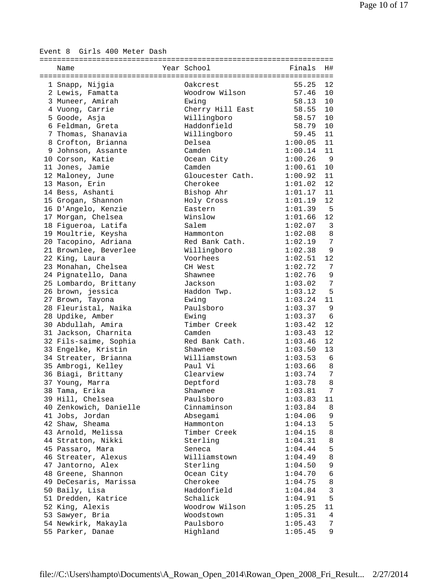Event 8 Girls 400 Meter Dash

| Name                   | Year School      | Finals  | Η#             |
|------------------------|------------------|---------|----------------|
|                        |                  |         |                |
| 1 Snapp, Nijgia        | Oakcrest         | 55.25   | 12             |
| 2 Lewis, Famatta       | Woodrow Wilson   | 57.46   | 10             |
| 3 Muneer, Amirah       | Ewing            | 58.13   | 10             |
| 4 Vuong, Carrie        | Cherry Hill East | 58.55   | 10             |
| 5 Goode, Asja          | Willingboro      | 58.57   | 10             |
| 6 Feldman, Greta       | Haddonfield      | 58.79   | 10             |
| 7 Thomas, Shanavia     | Willingboro      | 59.45   | 11             |
| 8 Crofton, Brianna     | Delsea           | 1:00.05 | 11             |
| 9 Johnson, Assante     | Camden           | 1:00.14 | 11             |
| 10 Corson, Katie       | Ocean City       | 1:00.26 | 9              |
| 11 Jones, Jamie        | Camden           | 1:00.61 | 10             |
| 12 Maloney, June       | Gloucester Cath. | 1:00.92 | 11             |
| 13 Mason, Erin         | Cherokee         | 1:01.02 | 12             |
| 14 Bess, Ashanti       | Bishop Ahr       | 1:01.17 | 11             |
| 15 Grogan, Shannon     | Holy Cross       | 1:01.19 | 12             |
| 16 D'Angelo, Kenzie    | Eastern          | 1:01.39 | $5^{\circ}$    |
| 17 Morgan, Chelsea     | Winslow          | 1:01.66 | 12             |
| 18 Figueroa, Latifa    | Salem            | 1:02.07 | $\overline{3}$ |
| 19 Moultrie, Keysha    | Hammonton        | 1:02.08 | 8              |
|                        | Red Bank Cath.   | 1:02.19 | 7              |
| 20 Tacopino, Adriana   |                  |         |                |
| 21 Brownlee, Beverlee  | Willingboro      | 1:02.38 | 9<br>12        |
| 22 King, Laura         | Voorhees         | 1:02.51 |                |
| 23 Monahan, Chelsea    | CH West          | 1:02.72 | 7              |
| 24 Pignatello, Dana    | Shawnee          | 1:02.76 | $\mathsf 9$    |
| 25 Lombardo, Brittany  | Jackson          | 1:03.02 | 7              |
| 26 brown, jessica      | Haddon Twp.      | 1:03.12 | 5              |
| 27 Brown, Tayona       | Ewing            | 1:03.24 | 11             |
| 28 Fleuristal, Naika   | Paulsboro        | 1:03.37 | 9              |
| 28 Updike, Amber       | Ewing            | 1:03.37 | 6              |
| 30 Abdullah, Amira     | Timber Creek     | 1:03.42 | 12             |
| 31 Jackson, Charnita   | Camden           | 1:03.43 | 12             |
| 32 Fils-saime, Sophia  | Red Bank Cath.   | 1:03.46 | 12             |
| 33 Engelke, Kristin    | Shawnee          | 1:03.50 | 13             |
| 34 Streater, Brianna   | Williamstown     | 1:03.53 | 6              |
| 35 Ambrogi, Kelley     | Paul Vi          | 1:03.66 | 8              |
| 36 Biagi, Brittany     | Clearview        | 1:03.74 | 7              |
| 37 Young, Marra        | Deptford         | 1:03.78 | 8              |
| 38 Tama, Erika         | Shawnee          | 1:03.81 | $7\phantom{.}$ |
| 39 Hill, Chelsea       | Paulsboro        | 1:03.83 | 11             |
| 40 Zenkowich, Danielle | Cinnaminson      | 1:03.84 | 8              |
| 41 Jobs, Jordan        | Absegami         | 1:04.06 | 9              |
| 42 Shaw, Sheama        | Hammonton        | 1:04.13 | 5              |
| 43 Arnold, Melissa     | Timber Creek     | 1:04.15 | 8              |
| 44 Stratton, Nikki     | Sterling         | 1:04.31 | 8              |
| 45 Passaro, Mara       | Seneca           | 1:04.44 | 5              |
| 46 Streater, Alexus    | Williamstown     | 1:04.49 | 8              |
| 47 Jantorno, Alex      | Sterling         | 1:04.50 | 9              |
| 48 Greene, Shannon     | Ocean City       | 1:04.70 | 6              |
| 49 DeCesaris, Marissa  | Cherokee         | 1:04.75 | 8              |
| 50 Baily, Lisa         | Haddonfield      | 1:04.84 | $\mathfrak{Z}$ |
| 51 Dredden, Katrice    | Schalick         | 1:04.91 | 5              |
| 52 King, Alexis        | Woodrow Wilson   | 1:05.25 | 11             |
| 53 Sawyer, Bria        | Woodstown        | 1:05.31 | 4              |
| 54 Newkirk, Makayla    | Paulsboro        | 1:05.43 | 7              |
| 55 Parker, Danae       | Highland         | 1:05.45 | 9              |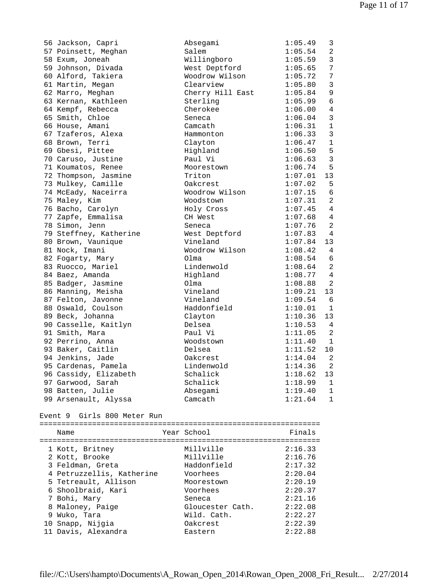| 56 Jackson, Capri              | Absegami         | 1:05.49 | 3              |  |  |  |  |  |  |
|--------------------------------|------------------|---------|----------------|--|--|--|--|--|--|
| 57 Poinsett, Meghan            | Salem            | 1:05.54 | 2              |  |  |  |  |  |  |
| 58 Exum, Joneah                | Willingboro      | 1:05.59 | $\overline{3}$ |  |  |  |  |  |  |
| 59 Johnson, Divada             | West Deptford    | 1:05.65 | 7              |  |  |  |  |  |  |
| 60 Alford, Takiera             | Woodrow Wilson   | 1:05.72 | 7              |  |  |  |  |  |  |
| 61 Martin, Megan               | Clearview        | 1:05.80 | $\overline{3}$ |  |  |  |  |  |  |
| 62 Marro, Meghan               | Cherry Hill East | 1:05.84 | $\overline{9}$ |  |  |  |  |  |  |
| 63 Kernan, Kathleen            | Sterling         | 1:05.99 | $\sqrt{6}$     |  |  |  |  |  |  |
| 64 Kempf, Rebecca              | Cherokee         | 1:06.00 | $\overline{4}$ |  |  |  |  |  |  |
| 65 Smith, Chloe                | Seneca           | 1:06.04 | $\mathbf{3}$   |  |  |  |  |  |  |
| 66 House, Amani                | Camcath          | 1:06.31 | $\mathbf{1}$   |  |  |  |  |  |  |
| 67 Tzaferos, Alexa             | Hammonton        | 1:06.33 | 3              |  |  |  |  |  |  |
| 68 Brown, Terri                | Clayton          | 1:06.47 | $\mathbf{1}$   |  |  |  |  |  |  |
| 69 Gbesi, Pittee               | Highland         | 1:06.50 | 5              |  |  |  |  |  |  |
| 70 Caruso, Justine             | Paul Vi          | 1:06.63 | $\overline{3}$ |  |  |  |  |  |  |
| 71 Koumatos, Renee             | Moorestown       | 1:06.74 | 5              |  |  |  |  |  |  |
| 72 Thompson, Jasmine           | Triton           | 1:07.01 | 13             |  |  |  |  |  |  |
| 73 Mulkey, Camille             | Oakcrest         | 1:07.02 | 5              |  |  |  |  |  |  |
| 74 McEady, Naceirra            | Woodrow Wilson   | 1:07.15 | 6              |  |  |  |  |  |  |
| 75 Maley, Kim                  | Woodstown        | 1:07.31 | 2              |  |  |  |  |  |  |
| 76 Bacho, Carolyn              | Holy Cross       | 1:07.45 | 4              |  |  |  |  |  |  |
| 77 Zapfe, Emmalisa             | CH West          | 1:07.68 | 4              |  |  |  |  |  |  |
| 78 Simon, Jenn                 | Seneca           | 1:07.76 | 2              |  |  |  |  |  |  |
| 79 Steffney, Katherine         | West Deptford    | 1:07.83 | 4              |  |  |  |  |  |  |
| 80 Brown, Vaunique             | Vineland         | 1:07.84 | 13             |  |  |  |  |  |  |
| 81 Nock, Imani                 | Woodrow Wilson   | 1:08.42 | $\overline{4}$ |  |  |  |  |  |  |
| 82 Fogarty, Mary               | Olma             | 1:08.54 | 6              |  |  |  |  |  |  |
| 83 Ruocco, Mariel              | Lindenwold       | 1:08.64 | 2              |  |  |  |  |  |  |
| 84 Baez, Amanda                | Highland         | 1:08.77 | 4              |  |  |  |  |  |  |
| 85 Badger, Jasmine             | Olma             | 1:08.88 | 2              |  |  |  |  |  |  |
| 86 Manning, Meisha             | Vineland         | 1:09.21 | 13             |  |  |  |  |  |  |
| 87 Felton, Javonne             | Vineland         | 1:09.54 | 6              |  |  |  |  |  |  |
| 88 Oswald, Coulson             | Haddonfield      | 1:10.01 | $\mathbf{1}$   |  |  |  |  |  |  |
| 89 Beck, Johanna               | Clayton          | 1:10.36 | 13             |  |  |  |  |  |  |
| 90 Casselle, Kaitlyn           | Delsea           | 1:10.53 | 4              |  |  |  |  |  |  |
| 91 Smith, Mara                 | Paul Vi          | 1:11.05 | 2              |  |  |  |  |  |  |
| 92 Perrino, Anna               | Woodstown        | 1:11.40 | 1              |  |  |  |  |  |  |
| 93 Baker, Caitlin              | Delsea           | 1:11.52 | 10             |  |  |  |  |  |  |
| 94 Jenkins, Jade               | Oakcrest         | 1:14.04 | 2              |  |  |  |  |  |  |
| 95 Cardenas, Pamela            | Lindenwold       | 1:14.36 | $\overline{a}$ |  |  |  |  |  |  |
| 96 Cassidy, Elizabeth          | Schalick         | 1:18.62 | 13             |  |  |  |  |  |  |
| 97 Garwood, Sarah              | Schalick         | 1:18.99 | 1              |  |  |  |  |  |  |
| 98 Batten, Julie               | Absegami         | 1:19.40 | 1              |  |  |  |  |  |  |
| 99 Arsenault, Alyssa           | Camcath          | 1:21.64 | 1              |  |  |  |  |  |  |
|                                |                  |         |                |  |  |  |  |  |  |
| Girls 800 Meter Run<br>Event 9 |                  |         |                |  |  |  |  |  |  |
|                                |                  |         |                |  |  |  |  |  |  |

| Name                      | Year School      | Finals  |
|---------------------------|------------------|---------|
| 1 Kott, Britney           | Millville        | 2:16.33 |
| 2 Kott, Brooke            | Millville        | 2:16.76 |
| 3 Feldman, Greta          | Haddonfield      | 2:17.32 |
| 4 Petruzzellis, Katherine | Voorhees         | 2:20.04 |
| 5 Tetreault, Allison      | Moorestown       | 2:20.19 |
| 6 Shoolbraid, Kari        | Voorhees         | 2:20.37 |
| 7 Bohi, Mary              | Seneca           | 2:21.16 |
| 8 Maloney, Paige          | Gloucester Cath. | 2:22.08 |
| 9 Wuko, Tara              | Wild. Cath.      | 2:22.27 |
| 10 Snapp, Nijgia          | Oakcrest         | 2:22.39 |
| 11 Davis, Alexandra       | Eastern          | 2:22.88 |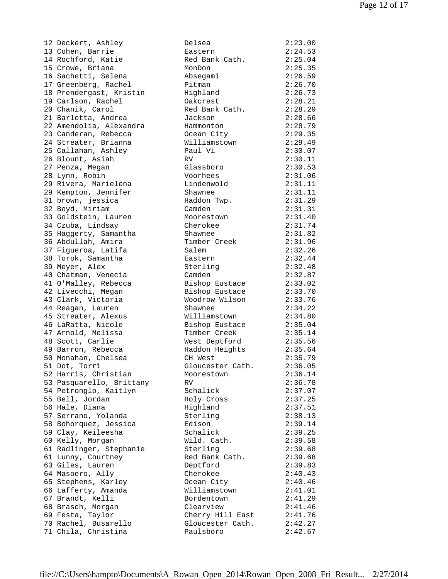12 Deckert, Ashley 13 Cohen, Barrie 14 Rochford, Katie 15 Crowe, Briana 16 Sachetti, Selena 17 Greenberg, Rachel 18 Prendergast, Kristin 19 Carlson, Rachel 20 Chanik, Carol 21 Barletta, Andrea 22 Amendolia, Alexandra 23 Canderan, Rebecca 24 Streater, Brianna 25 Callahan, Ashley 26 Blount, Asiah 27 Penza, Megan 28 Lynn, Robin 29 Rivera, Marielena 29 Kempton, Jennifer 31 brown, jessica 32 Boyd, Miriam 33 Goldstein, Lauren 34 Czuba, Lindsay 35 Haggerty, Samantha 36 Abdullah, Amira 37 Figueroa, Latifa 38 Torok, Samantha 39 Meyer, Alex 40 Chatman, Venecia 41 O'Malley, Rebecca 42 Livecchi, Megan 43 Clark, Victoria 44 Reagan, Lauren 45 Streater, Alexus 46 LaRatta, Nicole 47 Arnold, Melissa 48 Scott, Carlie 49 Barron, Rebecca 50 Monahan, Chelsea 51 Dot, Torri 52 Harris, Christian 53 Pasquarello, Brittany 54 Petronglo, Kaitlyn 55 Bell, Jordan 56 Hale, Diana 57 Serrano, Yolanda 58 Bohorquez, Jessica 59 Clay, Keileesha 60 Kelly, Morgan 61 Radlinger, Stephanie 61 Lunny, Courtney 63 Giles, Lauren 64 Masoero, Ally 65 Stephens, Karley 66 Lafferty, Amanda 67 Brandt, Kelli 68 Brasch, Morgan 69 Festa, Taylor 70 Rachel, Busarello 71 Chila, Christina

| Delsea           | 2:23.00 |
|------------------|---------|
| Eastern          | 2:24.53 |
| Red Bank Cath.   | 2:25.04 |
| MonDon           | 2:25.35 |
| Absegami         | 2:26.59 |
| Pitman           | 2:26.70 |
| Highland         | 2:26.73 |
| Oakcrest         | 2:28.21 |
| Red Bank Cath.   | 2:28.29 |
| Jackson          | 2:28.66 |
| Hammonton        | 2:28.79 |
| Ocean City       | 2:29.35 |
| Williamstown     | 2:29.49 |
|                  | 2:30.07 |
| Paul Vi          |         |
| <b>RV</b>        | 2:30.11 |
| Glassboro        | 2:30.53 |
| Voorhees         | 2:31.06 |
| Lindenwold       | 2:31.11 |
| Shawnee          | 2:31.11 |
| Haddon Twp.      | 2:31.29 |
| Camden           | 2:31.31 |
| Moorestown       | 2:31.40 |
| Cherokee         | 2:31.74 |
| Shawnee          | 2:31.82 |
| Timber Creek     | 2:31.96 |
| Salem            | 2:32.26 |
| Eastern          | 2:32.44 |
| Sterling         | 2:32.48 |
| Camden           | 2:32.87 |
| Bishop Eustace   | 2:33.02 |
| Bishop Eustace   | 2:33.70 |
| Woodrow Wilson   | 2:33.76 |
| Shawnee          | 2:34.22 |
| Williamstown     | 2:34.80 |
| Bishop Eustace   | 2:35.04 |
| Timber Creek     | 2:35.14 |
| West Deptford    | 2:35.56 |
|                  | 2:35.64 |
| Haddon Heights   |         |
| CH West          | 2:35.79 |
| Gloucester Cath  | 2:36.05 |
| Moorestown       | 2:36.14 |
| RV               | 2:36.78 |
| Schalick         | 2:37.07 |
| Holy Cross       | 2:37.25 |
| Highland         | 2:37.51 |
| Sterling         | 2:38.13 |
| Edison           | 2:39.14 |
| Schalick         | 2:39.25 |
| Wild. Cath.      | 2:39.58 |
| Sterling         | 2:39.68 |
| Red Bank Cath.   | 2:39.68 |
| Deptford         | 2:39.83 |
| Cherokee         | 2:40.43 |
| Ocean City       | 2:40.46 |
| Williamstown     | 2:41.01 |
| Bordentown       | 2:41.29 |
| Clearview        | 2:41.46 |
| Cherry Hill East | 2:41.76 |
| Gloucester Cath. | 2:42.27 |
| Paulsboro        | 2:42.67 |
|                  |         |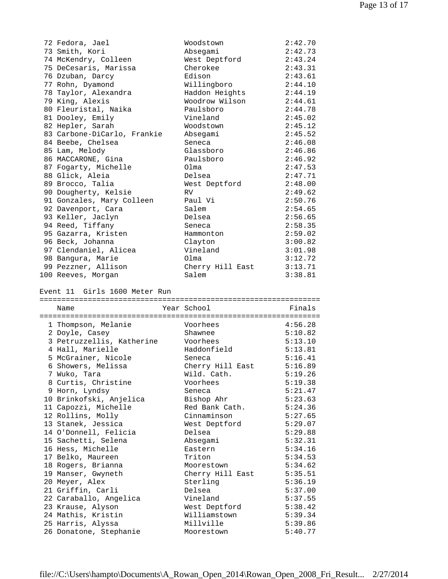| 72 Fedora, Jael             | Woodstown        | 2:42.70 |
|-----------------------------|------------------|---------|
| 73 Smith, Kori              | Absegami         | 2:42.73 |
| 74 McKendry, Colleen        | West Deptford    | 2:43.24 |
| 75 DeCesaris, Marissa       | Cherokee         | 2:43.31 |
| 76 Dzuban, Darcy            | Edison           | 2:43.61 |
| 77 Rohn, Dyamond            | Willingboro      | 2:44.10 |
| 78 Taylor, Alexandra        | Haddon Heights   | 2:44.19 |
| 79 King, Alexis             | Woodrow Wilson   | 2:44.61 |
| 80 Fleuristal, Naika        | Paulsboro        | 2:44.78 |
| 81 Dooley, Emily            | Vineland         | 2:45.02 |
| 82 Hepler, Sarah            | Woodstown        | 2:45.12 |
| 83 Carbone-DiCarlo, Frankie | Absegami         | 2:45.52 |
| 84 Beebe, Chelsea           | Seneca           | 2:46.08 |
| 85 Lam, Melody              | Glassboro        | 2:46.86 |
| 86 MACCARONE, Gina          | Paulsboro        | 2:46.92 |
| 87 Fogarty, Michelle        | Olma             | 2:47.53 |
| 88 Glick, Aleia             | Delsea           | 2:47.71 |
| 89 Brocco, Talia            | West Deptford    | 2:48.00 |
| 90 Dougherty, Kelsie        | RV               | 2:49.62 |
| 91 Gonzales, Mary Colleen   | Paul Vi          | 2:50.76 |
| 92 Davenport, Cara          | Salem            | 2:54.65 |
| 93 Keller, Jaclyn           | Delsea           | 2:56.65 |
| 94 Reed, Tiffany            | Seneca           | 2:58.35 |
| 95 Gazarra, Kristen         | Hammonton        | 2:59.02 |
| 96 Beck, Johanna            | Clayton          | 3:00.82 |
| 97 Clendaniel, Alicea       | Vineland         | 3:01.98 |
| 98 Bangura, Marie           | Olma             | 3:12.72 |
| 99 Pezzner, Allison         | Cherry Hill East | 3:13.71 |
| 100 Reeves, Morgan          | Salem            | 3:38.81 |

Event 11 Girls 1600 Meter Run

| Name                      |  | Year School      | Finals  |  |  |  |  |
|---------------------------|--|------------------|---------|--|--|--|--|
|                           |  |                  |         |  |  |  |  |
| 1 Thompson, Melanie       |  | Voorhees         | 4:56.28 |  |  |  |  |
| 2 Doyle, Casey            |  | Shawnee          | 5:10.82 |  |  |  |  |
| 3 Petruzzellis, Katherine |  | Voorhees         | 5:13.10 |  |  |  |  |
| 4 Hall, Marielle          |  | Haddonfield      | 5:13.81 |  |  |  |  |
| 5 McGrainer, Nicole       |  | Seneca           | 5:16.41 |  |  |  |  |
| 6 Showers, Melissa        |  | Cherry Hill East | 5:16.89 |  |  |  |  |
| 7 Wuko, Tara              |  | Wild. Cath.      | 5:19.26 |  |  |  |  |
| 8 Curtis, Christine       |  | Voorhees         | 5:19.38 |  |  |  |  |
| 9 Horn, Lyndsy            |  | Seneca           | 5:21.47 |  |  |  |  |
| 10 Brinkofski, Anjelica   |  | Bishop Ahr       | 5:23.63 |  |  |  |  |
| 11 Capozzi, Michelle      |  | Red Bank Cath.   | 5:24.36 |  |  |  |  |
| 12 Rollins, Molly         |  | Cinnaminson      | 5:27.65 |  |  |  |  |
| 13 Stanek, Jessica        |  | West Deptford    | 5:29.07 |  |  |  |  |
| 14 O'Donnell, Felicia     |  | Delsea           | 5:29.88 |  |  |  |  |
| 15 Sachetti, Selena       |  | Absegami         | 5:32.31 |  |  |  |  |
| 16 Hess, Michelle         |  | Eastern          | 5:34.16 |  |  |  |  |
| 17 Belko, Maureen         |  | Triton           | 5:34.53 |  |  |  |  |
| 18 Rogers, Brianna        |  | Moorestown       | 5:34.62 |  |  |  |  |
| 19 Manser, Gwyneth        |  | Cherry Hill East | 5:35.51 |  |  |  |  |
| 20 Meyer, Alex            |  | Sterling         | 5:36.19 |  |  |  |  |
| 21 Griffin, Carli         |  | Delsea           | 5:37.00 |  |  |  |  |
| 22 Caraballo, Angelica    |  | Vineland         | 5:37.55 |  |  |  |  |
| 23 Krause, Alyson         |  | West Deptford    | 5:38.42 |  |  |  |  |
| 24 Mathis, Kristin        |  | Williamstown     | 5:39.34 |  |  |  |  |
| 25 Harris, Alyssa         |  | Millville        | 5:39.86 |  |  |  |  |
| 26 Donatone, Stephanie    |  | Moorestown       | 5:40.77 |  |  |  |  |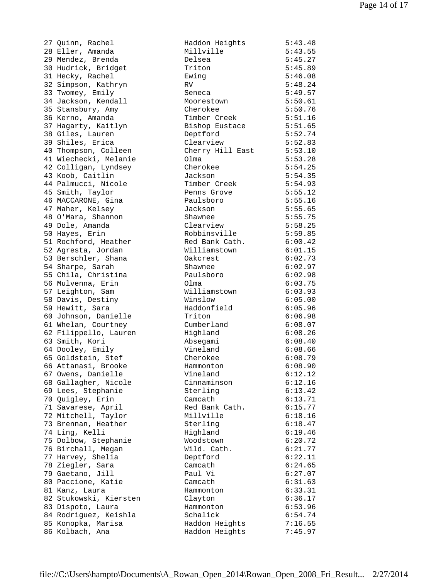| 27 Quinn, Rachel       | Haddon Heights           | 5:43.48 |
|------------------------|--------------------------|---------|
| 28 Eller, Amanda       | Millville                | 5:43.55 |
| 29 Mendez, Brenda      | Delsea                   | 5:45.27 |
| 30 Hudrick, Bridget    | Triton                   | 5:45.89 |
| 31 Hecky, Rachel       | Ewing                    | 5:46.08 |
| 32 Simpson, Kathryn    | RV.                      | 5:48.24 |
| 33 Twomey, Emily       | Seneca                   | 5:49.57 |
| 34 Jackson, Kendall    | Moorestown               | 5:50.61 |
| 35 Stansbury, Amy      | Cherokee                 | 5:50.76 |
| 36 Kerno, Amanda       | Timber Creek             | 5:51.16 |
| 37 Hagarty, Kaitlyn    | Bishop Eustace           | 5:51.65 |
| 38 Giles, Lauren       | Deptford                 | 5:52.74 |
| 39 Shiles, Erica       | Clearview                | 5:52.83 |
| 40 Thompson, Colleen   | Cherry Hill East 5:53.10 |         |
| 41 Wiechecki, Melanie  | Olma                     | 5:53.28 |
| 42 Colligan, Lyndsey   | Cherokee                 | 5:54.25 |
| 43 Koob, Caitlin       | Jackson                  | 5:54.35 |
|                        | Timber Creek             |         |
| 44 Palmucci, Nicole    |                          | 5:54.93 |
| 45 Smith, Taylor       | Penns Grove              | 5:55.12 |
| 46 MACCARONE, Gina     | Paulsboro                | 5:55.16 |
| 47 Maher, Kelsey       | Jackson                  | 5:55.65 |
| 48 O'Mara, Shannon     | Shawnee                  | 5:55.75 |
| 49 Dole, Amanda        | Clearview                | 5:58.25 |
| 50 Hayes, Erin         | Robbinsville             | 5:59.85 |
| 51 Rochford, Heather   | Red Bank Cath.           | 6:00.42 |
| 52 Agresta, Jordan     | Williamstown             | 6:01.15 |
| 53 Berschler, Shana    | Oakcrest                 | 6:02.73 |
| 54 Sharpe, Sarah       | Shawnee                  | 6:02.97 |
| 55 Chila, Christina    | Paulsboro                | 6:02.98 |
| 56 Mulvenna, Erin      | Olma                     | 6:03.75 |
| 57 Leighton, Sam       | Williamstown             | 6:03.93 |
| 58 Davis, Destiny      | Winslow                  | 6:05.00 |
| 59 Hewitt, Sara        | Haddonfield              | 6:05.96 |
| 60 Johnson, Danielle   | Triton                   | 6:06.98 |
| 61 Whelan, Courtney    | Cumberland               | 6:08.07 |
| 62 Filippello, Lauren  | Highland                 | 6:08.26 |
| 63 Smith, Kori         | Absegami                 | 6:08.40 |
| 64 Dooley, Emily       | Vineland                 | 6:08.66 |
| 65 Goldstein, Stef     | Cherokee                 | 6:08.79 |
| 66 Attanasi, Brooke    | Hammonton                | 6:08.90 |
| 67 Owens, Danielle     | Vineland                 | 6:12.12 |
| 68 Gallagher, Nicole   | Cinnaminson              | 6:12.16 |
| 69 Lees, Stephanie     | Sterling                 | 6:13.42 |
| 70 Quigley, Erin       | Camcath                  | 6:13.71 |
| 71 Savarese, April     | Red Bank Cath.           | 6:15.77 |
| 72 Mitchell, Taylor    | Millville                | 6:18.16 |
|                        |                          |         |
| 73 Brennan, Heather    | Sterling                 | 6:18.47 |
| 74 Ling, Kelli         | Highland                 | 6:19.46 |
| 75 Dolbow, Stephanie   | Woodstown                | 6:20.72 |
| 76 Birchall, Megan     | Wild. Cath.              | 6:21.77 |
| 77 Harvey, Shelia      | Deptford                 | 6:22.11 |
| 78 Ziegler, Sara       | Camcath                  | 6:24.65 |
| 79 Gaetano, Jill       | Paul Vi                  | 6:27.07 |
| 80 Paccione, Katie     | Camcath                  | 6:31.63 |
| 81 Kanz, Laura         | Hammonton                | 6:33.31 |
| 82 Stukowski, Kiersten | Clayton                  | 6:36.17 |
| 83 Dispoto, Laura      | Hammonton                | 6:53.96 |
| 84 Rodriguez, Keishla  | Schalick                 | 6:54.74 |
| 85 Konopka, Marisa     | Haddon Heights           | 7:16.55 |
| 86 Kolbach, Ana        | Haddon Heights           | 7:45.97 |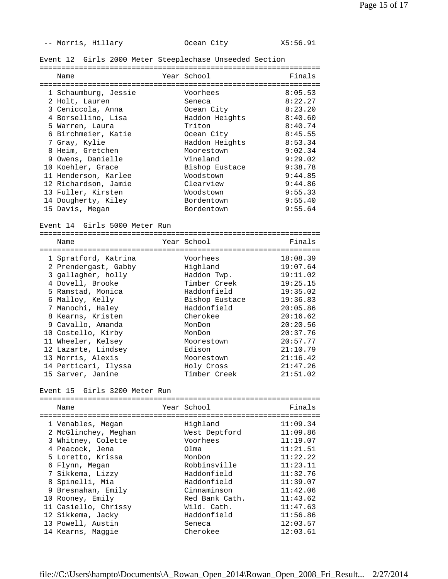-- Morris, Hillary **Ocean City** X5:56.91

Event 12 Girls 2000 Meter Steeplechase Unseeded Section

| Name                 | Year School    | Finals  |
|----------------------|----------------|---------|
|                      |                |         |
| 1 Schaumburg, Jessie | Voorhees       | 8:05.53 |
| 2 Holt, Lauren       | Seneca         | 8:22.27 |
| 3 Ceniccola, Anna    | Ocean City     | 8:23.20 |
| 4 Borsellino, Lisa   | Haddon Heights | 8:40.60 |
| 5 Warren, Laura      | Triton         | 8:40.74 |
| 6 Birchmeier, Katie  | Ocean City     | 8:45.55 |
| 7 Gray, Kylie        | Haddon Heights | 8:53.34 |
| 8 Heim, Gretchen     | Moorestown     | 9:02.34 |
| 9 Owens, Danielle    | Vineland       | 9:29.02 |
| 10 Koehler. Grace    | Bishop Eustace | 9:38.78 |
| 11 Henderson, Karlee | Woodstown      | 9:44.85 |
| 12 Richardson, Jamie | Clearview      | 9:44.86 |
| 13 Fuller, Kirsten   | Woodstown      | 9:55.33 |
| 14 Dougherty, Kiley  | Bordentown     | 9:55.40 |
| 15 Davis, Megan      | Bordentown     | 9:55.64 |

Event 14 Girls 5000 Meter Run

| Name                 |  | Year School    | Finals   |  |  |  |  |
|----------------------|--|----------------|----------|--|--|--|--|
|                      |  |                |          |  |  |  |  |
| 1 Spratford, Katrina |  | Voorhees       | 18:08.39 |  |  |  |  |
| 2 Prendergast, Gabby |  | Highland       | 19:07.64 |  |  |  |  |
| 3 gallagher, holly   |  | Haddon Twp.    | 19:11.02 |  |  |  |  |
| 4 Dovell, Brooke     |  | Timber Creek   | 19:25.15 |  |  |  |  |
| 5 Ramstad, Monica    |  | Haddonfield    | 19:35.02 |  |  |  |  |
| 6 Malloy, Kelly      |  | Bishop Eustace | 19:36.83 |  |  |  |  |
| 7 Manochi, Haley     |  | Haddonfield    | 20:05.86 |  |  |  |  |
| 8 Kearns, Kristen    |  | Cherokee       | 20:16.62 |  |  |  |  |
| 9 Cavallo, Amanda    |  | MonDon         | 20:20.56 |  |  |  |  |
| 10 Costello, Kirby   |  | MonDon         | 20:37.76 |  |  |  |  |
| 11 Wheeler, Kelsey   |  | Moorestown     | 20:57.77 |  |  |  |  |
| 12 Lazarte, Lindsey  |  | Edison         | 21:10.79 |  |  |  |  |
| 13 Morris, Alexis    |  | Moorestown     | 21:16.42 |  |  |  |  |
| 14 Perticari, Ilyssa |  | Holy Cross     | 21:47.26 |  |  |  |  |
| 15 Sarver, Janine    |  | Timber Creek   | 21:51.02 |  |  |  |  |

Event 15 Girls 3200 Meter Run

| Name                 | Year School    | Finals   |
|----------------------|----------------|----------|
|                      |                |          |
| 1 Venables, Megan    | Highland       | 11:09.34 |
| 2 McGlinchey, Meghan | West Deptford  | 11:09.86 |
| 3 Whitney, Colette   | Voorhees       | 11:19.07 |
| 4 Peacock, Jena      | Olma           | 11:21.51 |
| 5 Loretto, Krissa    | MonDon         | 11:22.22 |
| 6 Flynn, Megan       | Robbinsville   | 11:23.11 |
| 7 Sikkema, Lizzy     | Haddonfield    | 11:32.76 |
| 8 Spinelli, Mia      | Haddonfield    | 11:39.07 |
| 9 Bresnahan, Emily   | Cinnaminson    | 11:42.06 |
| 10 Rooney, Emily     | Red Bank Cath. | 11:43.62 |
| 11 Casiello, Chrissy | Wild. Cath.    | 11:47.63 |
| 12 Sikkema, Jacky    | Haddonfield    | 11:56.86 |
| 13 Powell, Austin    | Seneca         | 12:03.57 |
| 14 Kearns, Maqqie    | Cherokee       | 12:03.61 |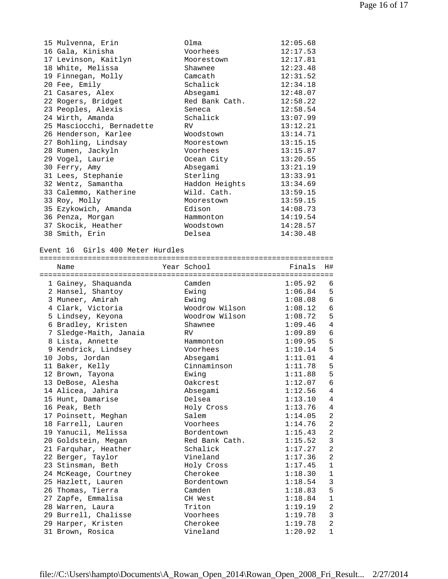| 15 Mulvenna, Erin         | Olma           | 12:05.68 |
|---------------------------|----------------|----------|
| 16 Gala, Kinisha          | Voorhees       | 12:17.53 |
| 17 Levinson, Kaitlyn      | Moorestown     | 12:17.81 |
| 18 White, Melissa         | Shawnee        | 12:23.48 |
| 19 Finnegan, Molly        | Camcath        | 12:31.52 |
| 20 Fee, Emily             | Schalick       | 12:34.18 |
| 21 Casares, Alex          | Absegami       | 12:48.07 |
| 22 Rogers, Bridget        | Red Bank Cath. | 12:58.22 |
| 23 Peoples, Alexis        | Seneca         | 12:58.54 |
| 24 Wirth, Amanda          | Schalick       | 13:07.99 |
| 25 Masciocchi, Bernadette | RV.            | 13:12.21 |
| 26 Henderson, Karlee      | Woodstown      | 13:14.71 |
| 27 Bohling, Lindsay       | Moorestown     | 13:15.15 |
| 28 Rumen, Jackyln         | Voorhees       | 13:15.87 |
| 29 Vogel, Laurie          | Ocean City     | 13:20.55 |
| 30 Ferry, Amy             | Absegami       | 13:21.19 |
| 31 Lees, Stephanie        | Sterling       | 13:33.91 |
| 32 Wentz, Samantha        | Haddon Heights | 13:34.69 |
| 33 Calemmo, Katherine     | Wild. Cath.    | 13:59.15 |
| 33 Roy, Molly             | Moorestown     | 13:59.15 |
| 35 Ezykowich, Amanda      | Edison         | 14:08.73 |
| 36 Penza, Morgan          | Hammonton      | 14:19.54 |
| 37 Skocik, Heather        | Woodstown      | 14:28.57 |
| 38 Smith, Erin            | Delsea         | 14:30.48 |

Event 16 Girls 400 Meter Hurdles

|  | Name                   |  | Year School    | Finals  | H#             |  |  |  |  |
|--|------------------------|--|----------------|---------|----------------|--|--|--|--|
|  |                        |  |                |         |                |  |  |  |  |
|  | 1 Gainey, Shaquanda    |  | Camden         | 1:05.92 | 6              |  |  |  |  |
|  | 2 Hansel, Shantoy      |  | Ewing          | 1:06.84 | 5              |  |  |  |  |
|  | 3 Muneer, Amirah       |  | Ewing          | 1:08.08 | 6              |  |  |  |  |
|  | 4 Clark, Victoria      |  | Woodrow Wilson | 1:08.12 | 6              |  |  |  |  |
|  | 5 Lindsey, Keyona      |  | Woodrow Wilson | 1:08.72 | 5              |  |  |  |  |
|  | 6 Bradley, Kristen     |  | Shawnee        | 1:09.46 | $\overline{4}$ |  |  |  |  |
|  | 7 Sledge-Maith, Janaia |  | RV.            | 1:09.89 | 6              |  |  |  |  |
|  | 8 Lista, Annette       |  | Hammonton      | 1:09.95 | 5              |  |  |  |  |
|  | 9 Kendrick, Lindsey    |  | Voorhees       | 1:10.14 | 5              |  |  |  |  |
|  | 10 Jobs, Jordan        |  | Absegami       | 1:11.01 | 4              |  |  |  |  |
|  | 11 Baker, Kelly        |  | Cinnaminson    | 1:11.78 | 5              |  |  |  |  |
|  | 12 Brown, Tayona       |  | Ewing          | 1:11.88 | 5              |  |  |  |  |
|  | 13 DeBose, Alesha      |  | Oakcrest       | 1:12.07 | 6              |  |  |  |  |
|  | 14 Alicea, Jahira      |  | Absegami       | 1:12.56 | 4              |  |  |  |  |
|  | 15 Hunt, Damarise      |  | Delsea         | 1:13.10 | 4              |  |  |  |  |
|  | 16 Peak, Beth          |  | Holy Cross     | 1:13.76 | 4              |  |  |  |  |
|  | 17 Poinsett, Meghan    |  | Salem          | 1:14.05 | $\overline{2}$ |  |  |  |  |
|  | 18 Farrell, Lauren     |  | Voorhees       | 1:14.76 | 2              |  |  |  |  |
|  | 19 Yanucil, Melissa    |  | Bordentown     | 1:15.43 | $\overline{2}$ |  |  |  |  |
|  | 20 Goldstein, Megan    |  | Red Bank Cath. | 1:15.52 | $\overline{3}$ |  |  |  |  |
|  | 21 Farquhar, Heather   |  | Schalick       | 1:17.27 | $\overline{2}$ |  |  |  |  |
|  | 22 Berger, Taylor      |  | Vineland       | 1:17.36 | 2              |  |  |  |  |
|  | 23 Stinsman, Beth      |  | Holy Cross     | 1:17.45 | $\mathbf{1}$   |  |  |  |  |
|  | 24 McKeage, Courtney   |  | Cherokee       | 1:18.30 | $\mathbf{1}$   |  |  |  |  |
|  | 25 Hazlett, Lauren     |  | Bordentown     | 1:18.54 | $\overline{3}$ |  |  |  |  |
|  | 26 Thomas, Tierra      |  | Camden         | 1:18.83 | 5              |  |  |  |  |
|  | 27 Zapfe, Emmalisa     |  | CH West        | 1:18.84 | $\mathbf{1}$   |  |  |  |  |
|  | 28 Warren, Laura       |  | Triton         | 1:19.19 | 2              |  |  |  |  |
|  | 29 Burrell, Chalisse   |  | Voorhees       | 1:19.78 | 3              |  |  |  |  |
|  | 29 Harper, Kristen     |  | Cherokee       | 1:19.78 | $\overline{2}$ |  |  |  |  |
|  | 31 Brown, Rosica       |  | Vineland       | 1:20.92 | $\mathbf{1}$   |  |  |  |  |